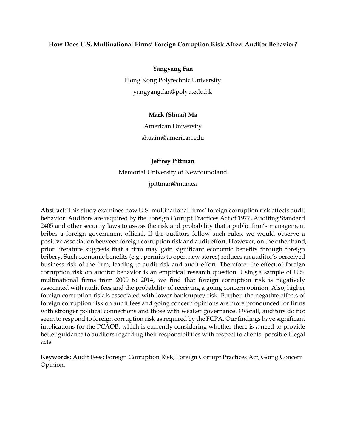## **How Does U.S. Multinational Firms' Foreign Corruption Risk Affect Auditor Behavior?**

**Yangyang Fan** Hong Kong Polytechnic University

[yangyang.fan@polyu.edu.hk](mailto:yangyang.fan@polyu.edu.hk)

# **Mark (Shuai) Ma**

American University [shuaim@american.edu](mailto:shuaim@american.edu)

## **Jeffrey Pittman**

Memorial University of Newfoundland [jpittman@mun.ca](mailto:jpittman@mun.ca)

**Abstract**: This study examines how U.S. multinational firms' foreign corruption risk affects audit behavior. Auditors are required by the Foreign Corrupt Practices Act of 1977, Auditing Standard 2405 and other security laws to assess the risk and probability that a public firm's management bribes a foreign government official. If the auditors follow such rules, we would observe a positive association between foreign corruption risk and audit effort. However, on the other hand, prior literature suggests that a firm may gain significant economic benefits through foreign bribery. Such economic benefits (e.g., permits to open new stores) reduces an auditor's perceived business risk of the firm, leading to audit risk and audit effort. Therefore, the effect of foreign corruption risk on auditor behavior is an empirical research question. Using a sample of U.S. multinational firms from 2000 to 2014, we find that foreign corruption risk is negatively associated with audit fees and the probability of receiving a going concern opinion. Also, higher foreign corruption risk is associated with lower bankruptcy risk. Further, the negative effects of foreign corruption risk on audit fees and going concern opinions are more pronounced for firms with stronger political connections and those with weaker governance. Overall, auditors do not seem to respond to foreign corruption risk as required by the FCPA. Our findings have significant implications for the PCAOB, which is currently considering whether there is a need to provide better guidance to auditors regarding their responsibilities with respect to clients' possible illegal acts.

**Keywords**: Audit Fees; Foreign Corruption Risk; Foreign Corrupt Practices Act; Going Concern Opinion.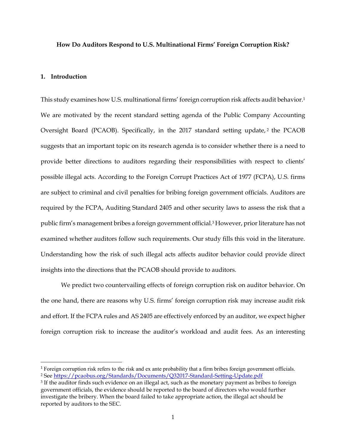#### **How Do Auditors Respond to U.S. Multinational Firms' Foreign Corruption Risk?**

### **1. Introduction**

 $\overline{a}$ 

This study examines how U.S. multinational firms' foreign corruption risk affects audit behavior. 1 We are motivated by the recent standard setting agenda of the Public Company Accounting Oversight Board (PCAOB). Specifically, in the 2017 standard setting update, <sup>2</sup> the PCAOB suggests that an important topic on its research agenda is to consider whether there is a need to provide better directions to auditors regarding their responsibilities with respect to clients' possible illegal acts. According to the Foreign Corrupt Practices Act of 1977 (FCPA), U.S. firms are subject to criminal and civil penalties for bribing foreign government officials. Auditors are required by the FCPA, Auditing Standard 2405 and other security laws to assess the risk that a public firm's management bribes a foreign government official. <sup>3</sup> However, prior literature has not examined whether auditors follow such requirements. Our study fills this void in the literature. Understanding how the risk of such illegal acts affects auditor behavior could provide direct insights into the directions that the PCAOB should provide to auditors.

We predict two countervailing effects of foreign corruption risk on auditor behavior. On the one hand, there are reasons why U.S. firms' foreign corruption risk may increase audit risk and effort. If the FCPA rules and AS 2405 are effectively enforced by an auditor, we expect higher foreign corruption risk to increase the auditor's workload and audit fees. As an interesting

<sup>1</sup> Foreign corruption risk refers to the risk and ex ante probability that a firm bribes foreign government officials. <sup>2</sup> See <https://pcaobus.org/Standards/Documents/Q32017-Standard-Setting-Update.pdf>

 $3$  If the auditor finds such evidence on an illegal act, such as the monetary payment as bribes to foreign government officials, the evidence should be reported to the board of directors who would further investigate the bribery. When the board failed to take appropriate action, the illegal act should be reported by auditors to the SEC.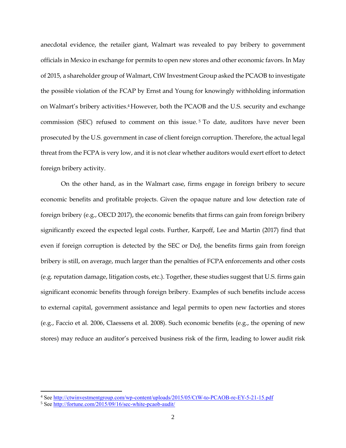anecdotal evidence, the retailer giant, Walmart was revealed to pay bribery to government officials in Mexico in exchange for permits to open new stores and other economic favors. In May of 2015, a shareholder group of Walmart, CtW Investment Group asked the PCAOB to investigate the possible violation of the FCAP by Ernst and Young for knowingly withholding information on Walmart's bribery activities. <sup>4</sup> However, both the PCAOB and the U.S. security and exchange commission (SEC) refused to comment on this issue.<sup>5</sup> To date, auditors have never been prosecuted by the U.S. government in case of client foreign corruption. Therefore, the actual legal threat from the FCPA is very low, and it is not clear whether auditors would exert effort to detect foreign bribery activity.

On the other hand, as in the Walmart case, firms engage in foreign bribery to secure economic benefits and profitable projects. Given the opaque nature and low detection rate of foreign bribery (e.g., OECD 2017), the economic benefits that firms can gain from foreign bribery significantly exceed the expected legal costs. Further, Karpoff, Lee and Martin (2017) find that even if foreign corruption is detected by the SEC or DoJ, the benefits firms gain from foreign bribery is still, on average, much larger than the penalties of FCPA enforcements and other costs (e.g. reputation damage, litigation costs, etc.). Together, these studies suggest that U.S. firms gain significant economic benefits through foreign bribery. Examples of such benefits include access to external capital, government assistance and legal permits to open new factorties and stores (e.g., Faccio et al. 2006, Claessens et al. 2008). Such economic benefits (e.g., the opening of new stores) may reduce an auditor's perceived business risk of the firm, leading to lower audit risk

 $\overline{a}$ 

<sup>&</sup>lt;sup>4</sup> Se[e http://ctwinvestmentgroup.com/wp-content/uploads/2015/05/CtW-to-PCAOB-re-EY-5-21-15.pdf](http://ctwinvestmentgroup.com/wp-content/uploads/2015/05/CtW-to-PCAOB-re-EY-5-21-15.pdf)

<sup>5</sup> Se[e http://fortune.com/2015/09/16/sec-white-pcaob-audit/](http://fortune.com/2015/09/16/sec-white-pcaob-audit/)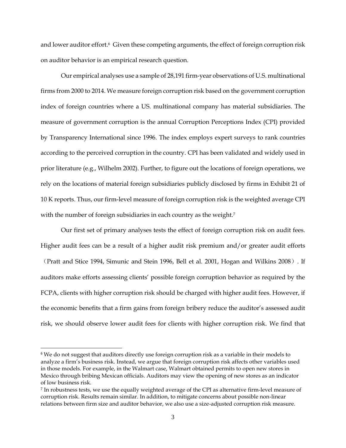and lower auditor effort.<sup>6</sup> Given these competing arguments, the effect of foreign corruption risk on auditor behavior is an empirical research question.

Our empirical analyses use a sample of 28,191 firm-year observations of U.S. multinational firms from 2000 to 2014. We measure foreign corruption risk based on the government corruption index of foreign countries where a US. multinational company has material subsidiaries. The measure of government corruption is the annual Corruption Perceptions Index (CPI) provided by Transparency International since 1996. The index employs expert surveys to rank countries according to the perceived corruption in the country. CPI has been validated and widely used in prior literature (e.g., Wilhelm 2002). Further, to figure out the locations of foreign operations, we rely on the locations of material foreign subsidiaries publicly disclosed by firms in Exhibit 21 of 10 K reports. Thus, our firm-level measure of foreign corruption risk is the weighted average CPI with the number of foreign subsidiaries in each country as the weight.<sup>7</sup>

Our first set of primary analyses tests the effect of foreign corruption risk on audit fees. Higher audit fees can be a result of a higher audit risk premium and/or greater audit efforts (Pratt and Stice 1994, Simunic and Stein 1996, Bell et al. 2001, Hogan and Wilkins 2008). If auditors make efforts assessing clients' possible foreign corruption behavior as required by the FCPA, clients with higher corruption risk should be charged with higher audit fees. However, if the economic benefits that a firm gains from foreign bribery reduce the auditor's assessed audit risk, we should observe lower audit fees for clients with higher corruption risk. We find that

 $\overline{\phantom{a}}$ 

<sup>&</sup>lt;sup>6</sup> We do not suggest that auditors directly use foreign corruption risk as a variable in their models to analyze a firm's business risk. Instead, we argue that foreign corruption risk affects other variables used in those models. For example, in the Walmart case, Walmart obtained permits to open new stores in Mexico through bribing Mexican officials. Auditors may view the opening of new stores as an indicator of low business risk.

<sup>7</sup> In robustness tests, we use the equally weighted average of the CPI as alternative firm-level measure of corruption risk. Results remain similar. In addition, to mitigate concerns about possible non-linear relations between firm size and auditor behavior, we also use a size-adjusted corruption risk measure.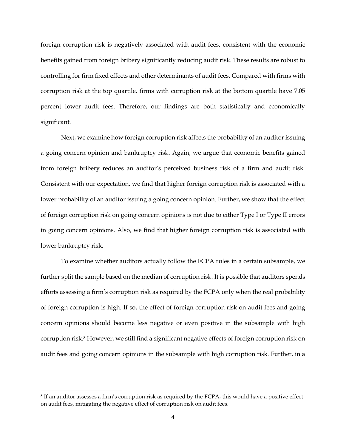foreign corruption risk is negatively associated with audit fees, consistent with the economic benefits gained from foreign bribery significantly reducing audit risk. These results are robust to controlling for firm fixed effects and other determinants of audit fees. Compared with firms with corruption risk at the top quartile, firms with corruption risk at the bottom quartile have 7.05 percent lower audit fees. Therefore, our findings are both statistically and economically significant.

Next, we examine how foreign corruption risk affects the probability of an auditor issuing a going concern opinion and bankruptcy risk. Again, we argue that economic benefits gained from foreign bribery reduces an auditor's perceived business risk of a firm and audit risk. Consistent with our expectation, we find that higher foreign corruption risk is associated with a lower probability of an auditor issuing a going concern opinion. Further, we show that the effect of foreign corruption risk on going concern opinions is not due to either Type I or Type II errors in going concern opinions. Also, we find that higher foreign corruption risk is associated with lower bankruptcy risk.

To examine whether auditors actually follow the FCPA rules in a certain subsample, we further split the sample based on the median of corruption risk. It is possible that auditors spends efforts assessing a firm's corruption risk as required by the FCPA only when the real probability of foreign corruption is high. If so, the effect of foreign corruption risk on audit fees and going concern opinions should become less negative or even positive in the subsample with high corruption risk. <sup>8</sup> However, we still find a significant negative effects of foreign corruption risk on audit fees and going concern opinions in the subsample with high corruption risk. Further, in a

l

<sup>8</sup> If an auditor assesses a firm's corruption risk as required by the FCPA, this would have a positive effect on audit fees, mitigating the negative effect of corruption risk on audit fees.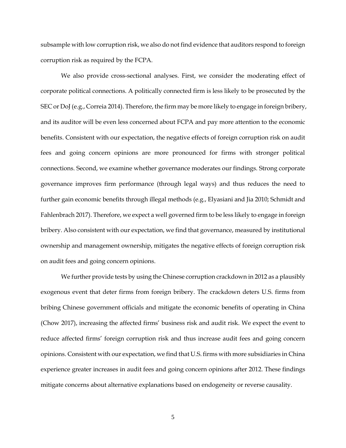subsample with low corruption risk, we also do not find evidence that auditors respond to foreign corruption risk as required by the FCPA.

We also provide cross-sectional analyses. First, we consider the moderating effect of corporate political connections. A politically connected firm is less likely to be prosecuted by the SEC or DoJ (e.g., Correia 2014). Therefore, the firm may be more likely to engage in foreign bribery, and its auditor will be even less concerned about FCPA and pay more attention to the economic benefits. Consistent with our expectation, the negative effects of foreign corruption risk on audit fees and going concern opinions are more pronounced for firms with stronger political connections. Second, we examine whether governance moderates our findings. Strong corporate governance improves firm performance (through legal ways) and thus reduces the need to further gain economic benefits through illegal methods (e.g., Elyasiani and Jia 2010; Schmidt and Fahlenbrach 2017). Therefore, we expect a well governed firm to be less likely to engage in foreign bribery. Also consistent with our expectation, we find that governance, measured by institutional ownership and management ownership, mitigates the negative effects of foreign corruption risk on audit fees and going concern opinions.

We further provide tests by using the Chinese corruption crackdown in 2012 as a plausibly exogenous event that deter firms from foreign bribery. The crackdown deters U.S. firms from bribing Chinese government officials and mitigate the economic benefits of operating in China (Chow 2017), increasing the affected firms' business risk and audit risk. We expect the event to reduce affected firms' foreign corruption risk and thus increase audit fees and going concern opinions. Consistent with our expectation, we find that U.S. firms with more subsidiaries in China experience greater increases in audit fees and going concern opinions after 2012. These findings mitigate concerns about alternative explanations based on endogeneity or reverse causality.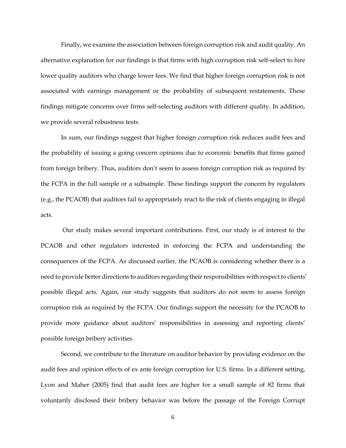Finally, we examine the association between foreign corruption risk and audit quality. An alternative explanation for our findings is that firms with high corruption risk self-select to hire lower quality auditors who charge lower fees. We find that higher foreign corruption risk is not associated with earnings management or the probability of subsequent restatements. These findings mitigate concerns over firms self-selecting auditors with different quality. In addition, we provide several robustness tests.

In sum, our findings suggest that higher foreign corruption risk reduces audit fees and the probability of issuing a going concern opinions due to economic benefits that firms gained from foreign bribery. Thus, auditors don't seem to assess foreign corruption risk as required by the FCPA in the full sample or a subsample. These findings support the concern by regulators (e.g., the PCAOB) that auditors fail to appropriately react to the risk of clients engaging in illegal acts.

Our study makes several important contributions. First, our study is of interest to the PCAOB and other regulators interested in enforcing the FCPA and understanding the consequences of the FCPA. As discussed earlier, the PCAOB is considering whether there is a need to provide better directions to auditors regarding their responsibilities with respect to clients' possible illegal acts. Again, our study suggests that auditors do not seem to assess foreign corruption risk as required by the FCPA. Our findings support the necessity for the PCAOB to provide more guidance about auditors' responsibilities in assessing and reporting clients' possible foreign bribery activities.

Second, we contribute to the literature on auditor behavior by providing evidence on the audit fees and opinion effects of ex ante foreign corruption for U.S. firms. In a different setting, Lyon and Maher (2005) find that audit fees are higher for a small sample of 82 firms that voluntarily disclosed their bribery behavior was before the passage of the Foreign Corrupt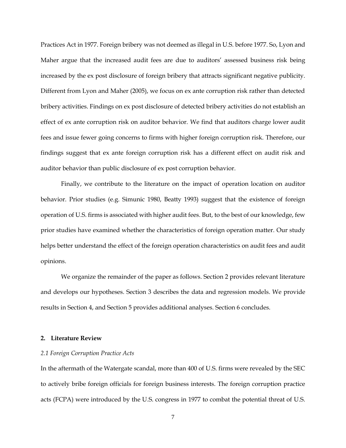Practices Act in 1977. Foreign bribery was not deemed as illegal in U.S. before 1977. So, Lyon and Maher argue that the increased audit fees are due to auditors' assessed business risk being increased by the ex post disclosure of foreign bribery that attracts significant negative publicity. Different from Lyon and Maher (2005), we focus on ex ante corruption risk rather than detected bribery activities. Findings on ex post disclosure of detected bribery activities do not establish an effect of ex ante corruption risk on auditor behavior. We find that auditors charge lower audit fees and issue fewer going concerns to firms with higher foreign corruption risk. Therefore, our findings suggest that ex ante foreign corruption risk has a different effect on audit risk and auditor behavior than public disclosure of ex post corruption behavior.

Finally, we contribute to the literature on the impact of operation location on auditor behavior. Prior studies (e.g. Simunic 1980, Beatty 1993) suggest that the existence of foreign operation of U.S. firms is associated with higher audit fees. But, to the best of our knowledge, few prior studies have examined whether the characteristics of foreign operation matter. Our study helps better understand the effect of the foreign operation characteristics on audit fees and audit opinions.

We organize the remainder of the paper as follows. Section 2 provides relevant literature and develops our hypotheses. Section 3 describes the data and regression models. We provide results in Section 4, and Section 5 provides additional analyses. Section 6 concludes.

#### **2. Literature Review**

#### *2.1 Foreign Corruption Practice Acts*

In the aftermath of the Watergate scandal, more than 400 of U.S. firms were revealed by the SEC to actively bribe foreign officials for foreign business interests. The foreign corruption practice acts (FCPA) were introduced by the U.S. congress in 1977 to combat the potential threat of U.S.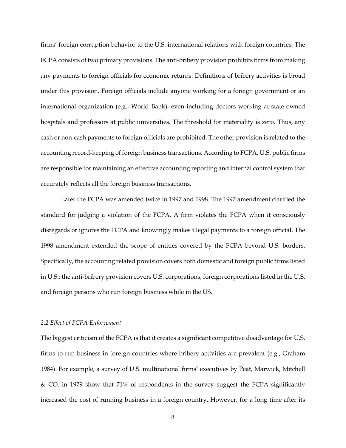firms' foreign corruption behavior to the U.S. international relations with foreign countries. The FCPA consists of two primary provisions. The anti-bribery provision prohibits firms from making any payments to foreign officials for economic returns. Definitions of bribery activities is broad under this provision. Foreign officials include anyone working for a foreign government or an international organization (e.g., World Bank), even including doctors working at state-owned hospitals and professors at public universities. The threshold for materiality is zero. Thus, any cash or non-cash payments to foreign officials are prohibited. The other provision is related to the accounting record-keeping of foreign business transactions. According to FCPA, U.S. public firms are responsible for maintaining an effective accounting reporting and internal control system that accurately reflects all the foreign business transactions.

Later the FCPA was amended twice in 1997 and 1998. The 1997 amendment clarified the standard for judging a violation of the FCPA. A firm violates the FCPA when it consciously disregards or ignores the FCPA and knowingly makes illegal payments to a foreign official. The 1998 amendment extended the scope of entities covered by the FCPA beyond U.S. borders. Specifically, the accounting related provision covers both domestic and foreign public firms listed in U.S.; the anti-bribery provision covers U.S. corporations, foreign corporations listed in the U.S. and foreign persons who run foreign business while in the US.

## *2.2 Effect of FCPA Enforcement*

The biggest criticism of the FCPA is that it creates a significant competitive disadvantage for U.S. firms to run business in foreign countries where bribery activities are prevalent (e.g., Graham 1984). For example, a survey of U.S. multinational firms' executives by Peat, Marwick, Mitchell & CO. in 1979 show that 71% of respondents in the survey suggest the FCPA significantly increased the cost of running business in a foreign country. However, for a long time after its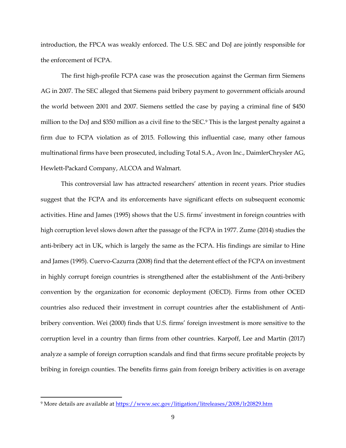introduction, the FPCA was weakly enforced. The U.S. SEC and DoJ are jointly responsible for the enforcement of FCPA.

The first high-profile FCPA case was the prosecution against the German firm Siemens AG in 2007. The SEC alleged that Siemens paid bribery payment to government officials around the world between 2001 and 2007. Siemens settled the case by paying a criminal fine of \$450 million to the DoJ and \$350 million as a civil fine to the SEC.<sup>9</sup> This is the largest penalty against a firm due to FCPA violation as of 2015. Following this influential case, many other famous multinational firms have been prosecuted, including Total S.A., Avon Inc., DaimlerChrysler AG, Hewlett-Packard Company, ALCOA and Walmart.

This controversial law has attracted researchers' attention in recent years. Prior studies suggest that the FCPA and its enforcements have significant effects on subsequent economic activities. Hine and James (1995) shows that the U.S. firms' investment in foreign countries with high corruption level slows down after the passage of the FCPA in 1977. Zume (2014) studies the anti-bribery act in UK, which is largely the same as the FCPA. His findings are similar to Hine and James (1995). Cuervo-Cazurra (2008) find that the deterrent effect of the FCPA on investment in highly corrupt foreign countries is strengthened after the establishment of the Anti-bribery convention by the organization for economic deployment (OECD). Firms from other OCED countries also reduced their investment in corrupt countries after the establishment of Antibribery convention. Wei (2000) finds that U.S. firms' foreign investment is more sensitive to the corruption level in a country than firms from other countries. Karpoff, Lee and Martin (2017) analyze a sample of foreign corruption scandals and find that firms secure profitable projects by bribing in foreign counties. The benefits firms gain from foreign bribery activities is on average

l

<sup>9</sup> More details are available at<https://www.sec.gov/litigation/litreleases/2008/lr20829.htm>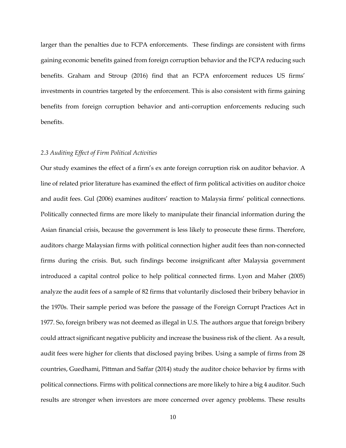larger than the penalties due to FCPA enforcements. These findings are consistent with firms gaining economic benefits gained from foreign corruption behavior and the FCPA reducing such benefits. Graham and Stroup (2016) find that an FCPA enforcement reduces US firms' investments in countries targeted by the enforcement. This is also consistent with firms gaining benefits from foreign corruption behavior and anti-corruption enforcements reducing such benefits.

## *2.3 Auditing Effect of Firm Political Activities*

Our study examines the effect of a firm's ex ante foreign corruption risk on auditor behavior. A line of related prior literature has examined the effect of firm political activities on auditor choice and audit fees. Gul (2006) examines auditors' reaction to Malaysia firms' political connections. Politically connected firms are more likely to manipulate their financial information during the Asian financial crisis, because the government is less likely to prosecute these firms. Therefore, auditors charge Malaysian firms with political connection higher audit fees than non-connected firms during the crisis. But, such findings become insignificant after Malaysia government introduced a capital control police to help political connected firms. Lyon and Maher (2005) analyze the audit fees of a sample of 82 firms that voluntarily disclosed their bribery behavior in the 1970s. Their sample period was before the passage of the Foreign Corrupt Practices Act in 1977. So, foreign bribery was not deemed as illegal in U.S. The authors argue that foreign bribery could attract significant negative publicity and increase the business risk of the client. As a result, audit fees were higher for clients that disclosed paying bribes. Using a sample of firms from 28 countries, Guedhami, Pittman and Saffar (2014) study the auditor choice behavior by firms with political connections. Firms with political connections are more likely to hire a big 4 auditor. Such results are stronger when investors are more concerned over agency problems. These results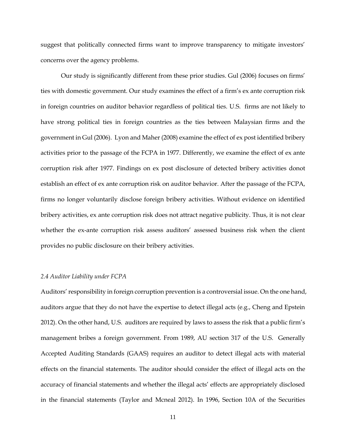suggest that politically connected firms want to improve transparency to mitigate investors' concerns over the agency problems.

Our study is significantly different from these prior studies. Gul (2006) focuses on firms' ties with domestic government. Our study examines the effect of a firm's ex ante corruption risk in foreign countries on auditor behavior regardless of political ties. U.S. firms are not likely to have strong political ties in foreign countries as the ties between Malaysian firms and the government in Gul (2006). Lyon and Maher (2008) examine the effect of ex post identified bribery activities prior to the passage of the FCPA in 1977. Differently, we examine the effect of ex ante corruption risk after 1977. Findings on ex post disclosure of detected bribery activities donot establish an effect of ex ante corruption risk on auditor behavior. After the passage of the FCPA, firms no longer voluntarily disclose foreign bribery activities. Without evidence on identified bribery activities, ex ante corruption risk does not attract negative publicity. Thus, it is not clear whether the ex-ante corruption risk assess auditors' assessed business risk when the client provides no public disclosure on their bribery activities.

#### *2.4 Auditor Liability under FCPA*

Auditors' responsibility in foreign corruption prevention is a controversial issue. On the one hand, auditors argue that they do not have the expertise to detect illegal acts (e.g., Cheng and Epstein 2012). On the other hand, U.S. auditors are required by laws to assess the risk that a public firm's management bribes a foreign government. From 1989, AU section 317 of the U.S. Generally Accepted Auditing Standards (GAAS) requires an auditor to detect illegal acts with material effects on the financial statements. The auditor should consider the effect of illegal acts on the accuracy of financial statements and whether the illegal acts' effects are appropriately disclosed in the financial statements (Taylor and Mcneal 2012). In 1996, Section 10A of the Securities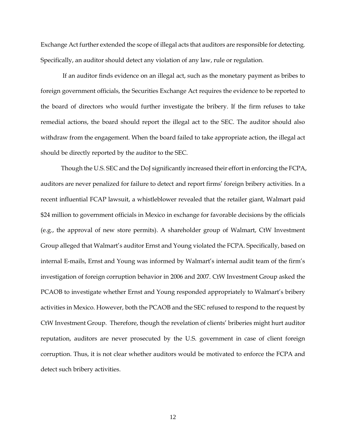Exchange Act further extended the scope of illegal acts that auditors are responsible for detecting. Specifically, an auditor should detect any violation of any law, rule or regulation.

If an auditor finds evidence on an illegal act, such as the monetary payment as bribes to foreign government officials, the Securities Exchange Act requires the evidence to be reported to the board of directors who would further investigate the bribery. If the firm refuses to take remedial actions, the board should report the illegal act to the SEC. The auditor should also withdraw from the engagement. When the board failed to take appropriate action, the illegal act should be directly reported by the auditor to the SEC.

Though the U.S. SEC and the DoJ significantly increased their effort in enforcing the FCPA, auditors are never penalized for failure to detect and report firms' foreign bribery activities. In a recent influential FCAP lawsuit, a whistleblower revealed that the retailer giant, Walmart paid \$24 million to government officials in Mexico in exchange for favorable decisions by the officials (e.g., the approval of new store permits). A shareholder group of Walmart, CtW Investment Group alleged that Walmart's auditor Ernst and Young violated the FCPA. Specifically, based on internal E-mails, Ernst and Young was informed by Walmart's internal audit team of the firm's investigation of foreign corruption behavior in 2006 and 2007. CtW Investment Group asked the PCAOB to investigate whether Ernst and Young responded appropriately to Walmart's bribery activities in Mexico. However, both the PCAOB and the SEC refused to respond to the request by CtW Investment Group. Therefore, though the revelation of clients' briberies might hurt auditor reputation, auditors are never prosecuted by the U.S. government in case of client foreign corruption. Thus, it is not clear whether auditors would be motivated to enforce the FCPA and detect such bribery activities.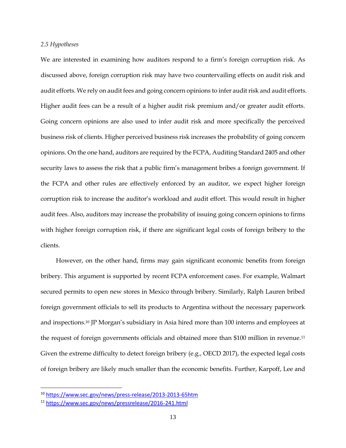### *2.5 Hypotheses*

We are interested in examining how auditors respond to a firm's foreign corruption risk. As discussed above, foreign corruption risk may have two countervailing effects on audit risk and audit efforts. We rely on audit fees and going concern opinions to infer audit risk and audit efforts. Higher audit fees can be a result of a higher audit risk premium and/or greater audit efforts. Going concern opinions are also used to infer audit risk and more specifically the perceived business risk of clients. Higher perceived business risk increases the probability of going concern opinions. On the one hand, auditors are required by the FCPA, Auditing Standard 2405 and other security laws to assess the risk that a public firm's management bribes a foreign government. If the FCPA and other rules are effectively enforced by an auditor, we expect higher foreign corruption risk to increase the auditor's workload and audit effort. This would result in higher audit fees. Also, auditors may increase the probability of issuing going concern opinions to firms with higher foreign corruption risk, if there are significant legal costs of foreign bribery to the clients.

However, on the other hand, firms may gain significant economic benefits from foreign bribery. This argument is supported by recent FCPA enforcement cases. For example, Walmart secured permits to open new stores in Mexico through bribery. Similarly, Ralph Lauren bribed foreign government officials to sell its products to Argentina without the necessary paperwork and inspections.<sup>10</sup> JP Morgan's subsidiary in Asia hired more than 100 interns and employees at the request of foreign governments officials and obtained more than \$100 million in revenue.<sup>11</sup> Given the extreme difficulty to detect foreign bribery (e.g., OECD 2017), the expected legal costs of foreign bribery are likely much smaller than the economic benefits. Further, Karpoff, Lee and

 $\overline{a}$ 

<sup>10</sup> [https://www.sec.gov/news/press-release/2013-2013-65htm](https://urldefense.proofpoint.com/v2/url?u=https-3A__www.sec.gov_news_press-2Drelease_2013-2D2013-2D65htm&d=DwMFaQ&c=U0G0XJAMhEk_X0GAGzCL7Q&r=E1K3MROTP7VcnqlKi904E_MYXh_Q3iE0HArHd5RqV24&m=9VAaHUoiXC6OUmbRsdaoP5HlRxVVef7sCQL1HEsnqfk&s=-AcKTKv75lcvzFcCQcwpXCMb0IImKpne6uj16ggc7_s&e=)

<sup>11</sup> [https://www.sec.gov/news/pressrelease/2016-241.html](https://urldefense.proofpoint.com/v2/url?u=https-3A__www.sec.gov_news_pressrelease_2016-2D241.html&d=DwMFaQ&c=U0G0XJAMhEk_X0GAGzCL7Q&r=E1K3MROTP7VcnqlKi904E_MYXh_Q3iE0HArHd5RqV24&m=9VAaHUoiXC6OUmbRsdaoP5HlRxVVef7sCQL1HEsnqfk&s=vcaqxaG2Q9fdhvCv41Y1dq2YKY0MJXZIbtfq8t05DSM&e=)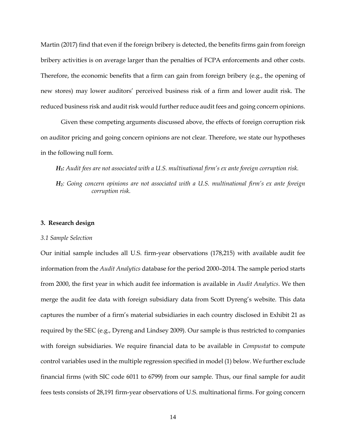Martin (2017) find that even if the foreign bribery is detected, the benefits firms gain from foreign bribery activities is on average larger than the penalties of FCPA enforcements and other costs. Therefore, the economic benefits that a firm can gain from foreign bribery (e.g., the opening of new stores) may lower auditors' perceived business risk of a firm and lower audit risk. The reduced business risk and audit risk would further reduce audit fees and going concern opinions.

Given these competing arguments discussed above, the effects of foreign corruption risk on auditor pricing and going concern opinions are not clear. Therefore, we state our hypotheses in the following null form.

*H1: Audit fees are not associated with a U.S. multinational firm's ex ante foreign corruption risk.*

*H2: Going concern opinions are not associated with a U.S. multinational firm's ex ante foreign corruption risk.*

### **3. Research design**

#### *3.1 Sample Selection*

Our initial sample includes all U.S. firm-year observations (178,215) with available audit fee information from the *Audit Analytics* database for the period 2000–2014. The sample period starts from 2000, the first year in which audit fee information is available in *Audit Analytics*. We then merge the audit fee data with foreign subsidiary data from Scott Dyreng's website. This data captures the number of a firm's material subsidiaries in each country disclosed in Exhibit 21 as required by the SEC (e.g., Dyreng and Lindsey 2009). Our sample is thus restricted to companies with foreign subsidiaries. We require financial data to be available in *Compustat* to compute control variables used in the multiple regression specified in model (1) below. We further exclude financial firms (with SIC code 6011 to 6799) from our sample. Thus, our final sample for audit fees tests consists of 28,191 firm-year observations of U.S. multinational firms. For going concern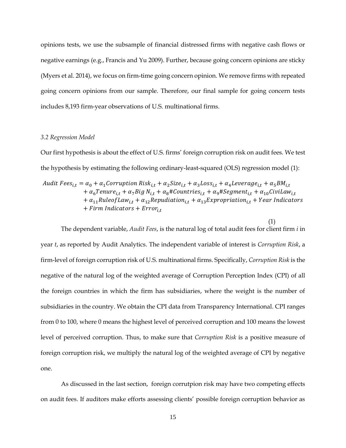opinions tests, we use the subsample of financial distressed firms with negative cash flows or negative earnings (e.g., Francis and Yu 2009). Further, because going concern opinions are sticky (Myers et al. 2014), we focus on firm-time going concern opinion. We remove firms with repeated going concern opinions from our sample. Therefore, our final sample for going concern tests includes 8,193 firm-year observations of U.S. multinational firms.

#### *3.2 Regression Model*

Our first hypothesis is about the effect of U.S. firms' foreign corruption risk on audit fees. We test the hypothesis by estimating the following ordinary-least-squared (OLS) regression model (1):

Audit Fees<sub>it</sub> =  $\alpha_0 + \alpha_1$ Corruption Risk<sub>it</sub> +  $\alpha_2$ Size<sub>it</sub> +  $\alpha_3$ Loss<sub>it</sub> +  $\alpha_4$ Leverage<sub>it</sub> +  $\alpha_5 BM_{i,t}$ +  $\alpha_6$ Tenure<sub>i,t</sub> +  $\alpha_7$ Big N<sub>i,t</sub> +  $\alpha_8$ #Countries<sub>i,t</sub> +  $\alpha_9$ #Segment<sub>i,t</sub> +  $\alpha_{10}$ CiviLaw<sub>i,t</sub>  $+\alpha_{11}$ Ruleof Law<sub>it</sub> +  $\alpha_{12}$ Repudiation<sub>it</sub> +  $\alpha_{13}$ Expropriation<sub>it</sub> + Year Indicators  $+$  Firm Indicators  $+$  Error<sub>it</sub>

(1) The dependent variable, *Audit Fees*, is the natural log of total audit fees for client firm *i* in year *t*, as reported by Audit Analytics. The independent variable of interest is *Corruption Risk*, a firm-level of foreign corruption risk of U.S. multinational firms. Specifically, *Corruption Risk* is the negative of the natural log of the weighted average of Corruption Perception Index (CPI) of all the foreign countries in which the firm has subsidiaries, where the weight is the number of subsidiaries in the country. We obtain the CPI data from Transparency International. CPI ranges from 0 to 100, where 0 means the highest level of perceived corruption and 100 means the lowest level of perceived corruption. Thus, to make sure that *Corruption Risk* is a positive measure of foreign corruption risk, we multiply the natural log of the weighted average of CPI by negative one.

As discussed in the last section, foreign corrutpion risk may have two competing effects on audit fees. If auditors make efforts assessing clients' possible foreign corruption behavior as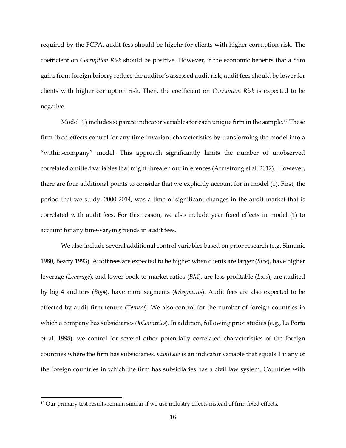required by the FCPA, audit fess should be higehr for clients with higher corruption risk. The coefficient on *Corruption Risk* should be positive. However, if the economic benefits that a firm gains from foreign bribery reduce the auditor's assessed audit risk, audit fees should be lower for clients with higher corruption risk. Then, the coefficient on *Corruption Risk* is expected to be negative.

Model (1) includes separate indicator variables for each unique firm in the sample.<sup>12</sup> These firm fixed effects control for any time-invariant characteristics by transforming the model into a "within-company" model. This approach significantly limits the number of unobserved correlated omitted variables that might threaten our inferences (Armstrong et al. 2012). However, there are four additional points to consider that we explicitly account for in model (1). First, the period that we study, 2000-2014, was a time of significant changes in the audit market that is correlated with audit fees. For this reason, we also include year fixed effects in model (1) to account for any time-varying trends in audit fees.

We also include several additional control variables based on prior research (e.g. Simunic 1980, Beatty 1993). Audit fees are expected to be higher when clients are larger (*Size*), have higher leverage (*Leverage*), and lower book-to-market ratios (*BM*), are less profitable (*Loss*), are audited by big 4 auditors (*Big4*), have more segments (*#Segments*). Audit fees are also expected to be affected by audit firm tenure (*Tenure*). We also control for the number of foreign countries in which a company has subsidiaries (*#Countries*). In addition, following prior studies (e.g., La Porta et al. 1998), we control for several other potentially correlated characteristics of the foreign countries where the firm has subsidiaries. *CivilLaw* is an indicator variable that equals 1 if any of the foreign countries in which the firm has subsidiaries has a civil law system. Countries with

l

<sup>&</sup>lt;sup>12</sup> Our primary test results remain similar if we use industry effects instead of firm fixed effects.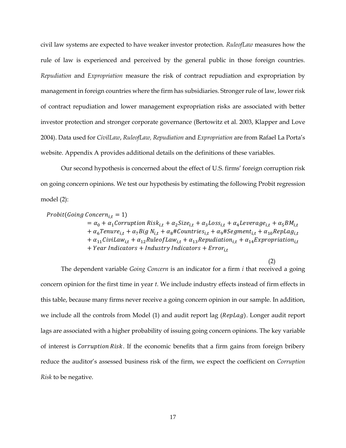civil law systems are expected to have weaker investor protection. *RuleofLaw* measures how the rule of law is experienced and perceived by the general public in those foreign countries. *Repudiation* and *Expropriation* measure the risk of contract repudiation and expropriation by management in foreign countries where the firm has subsidiaries. Stronger rule of law, lower risk of contract repudiation and lower management expropriation risks are associated with better investor protection and stronger corporate governance (Bertowitz et al. 2003, Klapper and Love 2004). Data used for *CivilLaw*, *RuleofLaw, Repudiation* and *Expropriation* are from Rafael La Porta's website. Appendix A provides additional details on the definitions of these variables.

Our second hypothesis is concerned about the effect of U.S. firms' foreign corruption risk on going concern opinions. We test our hypothesis by estimating the following Probit regression model (2):

```
Probability (Going\ Concern_{i,t} = 1)
```
 $= \alpha_0 + \alpha_1$ Corruption Risk<sub>i,t</sub> +  $\alpha_2$ Size<sub>i,t</sub> +  $\alpha_3$ Loss<sub>i,t</sub> +  $\alpha_4$ Leverage<sub>i,t</sub> +  $\alpha_5 BM_{i,t}$ +  $\alpha_6$ Tenure<sub>i,t</sub> +  $\alpha_7$ Big N<sub>i,t</sub> +  $\alpha_8$ #Countries<sub>i,t</sub> +  $\alpha_9$ #Segment<sub>i,t</sub> +  $\alpha_{10}$ RepLag<sub>i,t</sub>  $+\alpha_{11}$ CiviLaw<sub>i.t</sub> +  $\alpha_{12}$ RuleofLaw<sub>i.t</sub> +  $\alpha_{13}$ Repudiation<sub>i.t</sub> +  $\alpha_{14}$ Expropriation<sub>i.t</sub>  $+$  Year Indicators  $+$  Industry Indicators  $+$  Error<sub>it</sub>

(2)

The dependent variable *Going Concern* is an indicator for a firm *i* that received a going concern opinion for the first time in year *t*. We include industry effects instead of firm effects in this table, because many firms never receive a going concern opinion in our sample. In addition, we include all the controls from Model  $(1)$  and audit report lag ( $RepLag$ ). Longer audit report lags are associated with a higher probability of issuing going concern opinions. The key variable of interest is *Corruption Risk*. If the economic benefits that a firm gains from foreign bribery reduce the auditor's assessed business risk of the firm, we expect the coefficient on *Corruption Risk* to be negative.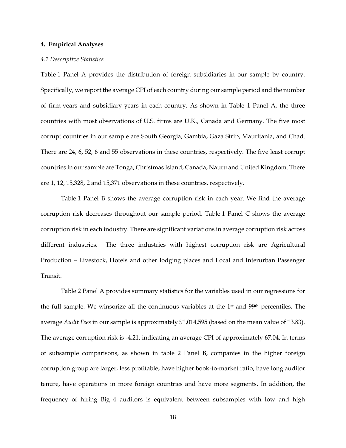#### **4. Empirical Analyses**

#### *4.1 Descriptive Statistics*

Table 1 Panel A provides the distribution of foreign subsidiaries in our sample by country. Specifically, we report the average CPI of each country during our sample period and the number of firm-years and subsidiary-years in each country. As shown in Table 1 Panel A, the three countries with most observations of U.S. firms are U.K., Canada and Germany. The five most corrupt countries in our sample are South Georgia, Gambia, Gaza Strip, Mauritania, and Chad. There are 24, 6, 52, 6 and 55 observations in these countries, respectively. The five least corrupt countries in our sample are Tonga, Christmas Island, Canada, Nauru and United Kingdom. There are 1, 12, 15,328, 2 and 15,371 observations in these countries, respectively.

Table 1 Panel B shows the average corruption risk in each year. We find the average corruption risk decreases throughout our sample period. Table 1 Panel C shows the average corruption risk in each industry. There are significant variations in average corruption risk across different industries. The three industries with highest corruption risk are Agricultural Production – Livestock, Hotels and other lodging places and Local and Interurban Passenger Transit.

Table 2 Panel A provides summary statistics for the variables used in our regressions for the full sample. We winsorize all the continuous variables at the  $1<sup>st</sup>$  and  $99<sup>th</sup>$  percentiles. The average *Audit Fees* in our sample is approximately \$1,014,595 (based on the mean value of 13.83). The average corruption risk is -4.21, indicating an average CPI of approximately 67.04. In terms of subsample comparisons, as shown in table 2 Panel B, companies in the higher foreign corruption group are larger, less profitable, have higher book-to-market ratio, have long auditor tenure, have operations in more foreign countries and have more segments. In addition, the frequency of hiring Big 4 auditors is equivalent between subsamples with low and high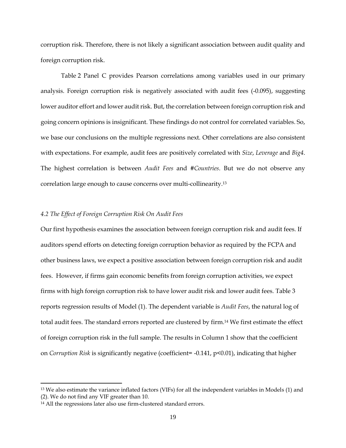corruption risk. Therefore, there is not likely a significant association between audit quality and foreign corruption risk.

Table [2](http://onlinelibrary.wiley.com/doi/10.1111/1911-3846.12096/full#care12096-tbl-0002) Panel C provides Pearson correlations among variables used in our primary analysis. Foreign corruption risk is negatively associated with audit fees (-0.095), suggesting lower auditor effort and lower audit risk. But, the correlation between foreign corruption risk and going concern opinions is insignificant. These findings do not control for correlated variables. So, we base our conclusions on the multiple regressions next. Other correlations are also consistent with expectations. For example, audit fees are positively correlated with *Size*, *Leverage* and *Big4*. The highest correlation is between *Audit Fees* and *#Countries*. But we do not observe any correlation large enough to cause concerns over multi-collinearity.<sup>13</sup>

## *4.2 The Effect of Foreign Corruption Risk On Audit Fees*

Our first hypothesis examines the association between foreign corruption risk and audit fees. If auditors spend efforts on detecting foreign corruption behavior as required by the FCPA and other business laws, we expect a positive association between foreign corruption risk and audit fees. However, if firms gain economic benefits from foreign corruption activities, we expect firms with high foreign corruption risk to have lower audit risk and lower audit fees. Table 3 reports regression results of Model (1). The dependent variable is *Audit Fees*, the natural log of total audit fees. The standard errors reported are clustered by firm.<sup>14</sup> We first estimate the effect of foreign corruption risk in the full sample. The results in Column 1 show that the coefficient on *Corruption Risk* is significantly negative (coefficient= -0.141, p<0.01), indicating that higher

 $\overline{a}$ 

<sup>13</sup> We also estimate the variance inflated factors (VIFs) for all the independent variables in Models (1) and (2). We do not find any VIF greater than 10.

<sup>&</sup>lt;sup>14</sup> All the regressions later also use firm-clustered standard errors.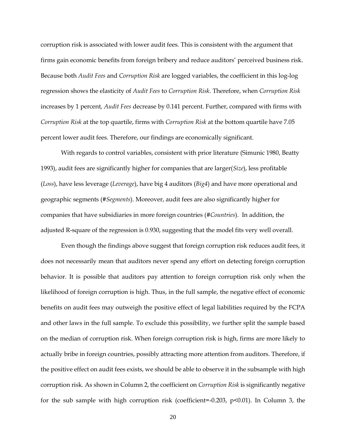corruption risk is associated with lower audit fees. This is consistent with the argument that firms gain economic benefits from foreign bribery and reduce auditors' perceived business risk. Because both *Audit Fees* and *Corruption Risk* are logged variables, the coefficient in this log-log regression shows the elasticity of *Audit Fees* to *Corruption Risk*. Therefore, when *Corruption Risk*  increases by 1 percent*, Audit Fees* decrease by 0.141 percent. Further, compared with firms with *Corruption Risk* at the top quartile, firms with *Corruption Risk* at the bottom quartile have 7.05 percent lower audit fees. Therefore, our findings are economically significant.

With regards to control variables, consistent with prior literature (Simunic 1980, Beatty 1993), audit fees are significantly higher for companies that are larger(*Size*), less profitable (*Loss*), have less leverage (*Leverage*), have big 4 auditors (*Big4*) and have more operational and geographic segments (*#Segments*). Moreover, audit fees are also significantly higher for companies that have subsidiaries in more foreign countries (*#Countries*). In addition, the adjusted R-square of the regression is 0.930, suggesting that the model fits very well overall.

Even though the findings above suggest that foreign corruption risk reduces audit fees, it does not necessarily mean that auditors never spend any effort on detecting foreign corruption behavior. It is possible that auditors pay attention to foreign corruption risk only when the likelihood of foreign corruption is high. Thus, in the full sample, the negative effect of economic benefits on audit fees may outweigh the positive effect of legal liabilities required by the FCPA and other laws in the full sample. To exclude this possibility, we further split the sample based on the median of corruption risk. When foreign corruption risk is high, firms are more likely to actually bribe in foreign countries, possibly attracting more attention from auditors. Therefore, if the positive effect on audit fees exists, we should be able to observe it in the subsample with high corruption risk. As shown in Column 2, the coefficient on *Corruption Risk* is significantly negative for the sub sample with high corruption risk (coefficient=-0.203,  $p<0.01$ ). In Column 3, the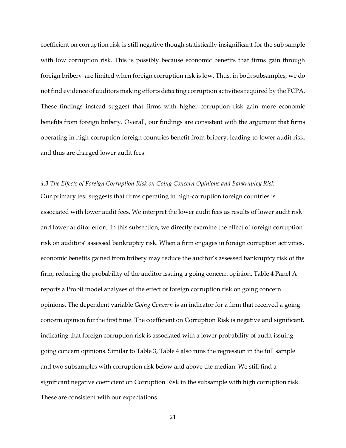coefficient on corruption risk is still negative though statistically insignificant for the sub sample with low corruption risk. This is possibly because economic benefits that firms gain through foreign bribery are limited when foreign corruption risk is low. Thus, in both subsamples, we do not find evidence of auditors making efforts detecting corruption activities required by the FCPA. These findings instead suggest that firms with higher corruption risk gain more economic benefits from foreign bribery. Overall, our findings are consistent with the argument that firms operating in high-corruption foreign countries benefit from bribery, leading to lower audit risk, and thus are charged lower audit fees.

*4.3 The Effects of Foreign Corruption Risk on Going Concern Opinions and Bankruptcy Risk* Our primary test suggests that firms operating in high-corruption foreign countries is associated with lower audit fees. We interpret the lower audit fees as results of lower audit risk and lower auditor effort. In this subsection, we directly examine the effect of foreign corruption risk on auditors' assessed bankruptcy risk. When a firm engages in foreign corruption activities, economic benefits gained from bribery may reduce the auditor's assessed bankruptcy risk of the firm, reducing the probability of the auditor issuing a going concern opinion. Table 4 Panel A reports a Probit model analyses of the effect of foreign corruption risk on going concern opinions. The dependent variable *Going Concern* is an indicator for a firm that received a going concern opinion for the first time. The coefficient on Corruption Risk is negative and significant, indicating that foreign corruption risk is associated with a lower probability of audit issuing going concern opinions. Similar to Table 3, Table 4 also runs the regression in the full sample and two subsamples with corruption risk below and above the median. We still find a significant negative coefficient on Corruption Risk in the subsample with high corruption risk. These are consistent with our expectations.

21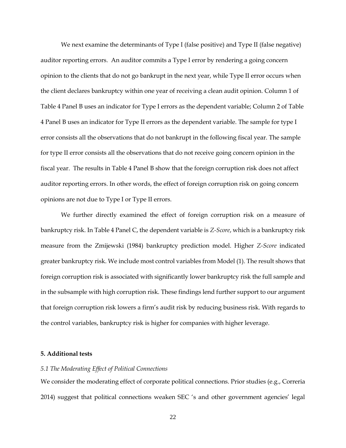We next examine the determinants of Type I (false positive) and Type II (false negative) auditor reporting errors. An auditor commits a Type I error by rendering a going concern opinion to the clients that do not go bankrupt in the next year, while Type II error occurs when the client declares bankruptcy within one year of receiving a clean audit opinion. Column 1 of Table 4 Panel B uses an indicator for Type I errors as the dependent variable; Column 2 of Table 4 Panel B uses an indicator for Type II errors as the dependent variable. The sample for type I error consists all the observations that do not bankrupt in the following fiscal year. The sample for type II error consists all the observations that do not receive going concern opinion in the fiscal year. The results in Table 4 Panel B show that the foreign corruption risk does not affect auditor reporting errors. In other words, the effect of foreign corruption risk on going concern opinions are not due to Type I or Type II errors.

We further directly examined the effect of foreign corruption risk on a measure of bankruptcy risk. In Table 4 Panel C, the dependent variable is *Z-Score*, which is a bankruptcy risk measure from the Zmijewski (1984) bankruptcy prediction model. Higher *Z-Score* indicated greater bankruptcy risk. We include most control variables from Model (1). The result shows that foreign corruption risk is associated with significantly lower bankruptcy risk the full sample and in the subsample with high corruption risk. These findings lend further support to our argument that foreign corruption risk lowers a firm's audit risk by reducing business risk. With regards to the control variables, bankruptcy risk is higher for companies with higher leverage.

#### **5. Additional tests**

#### *5.1 The Moderating Effect of Political Connections*

We consider the moderating effect of corporate political connections. Prior studies (e.g., Correria 2014) suggest that political connections weaken SEC 's and other government agencies' legal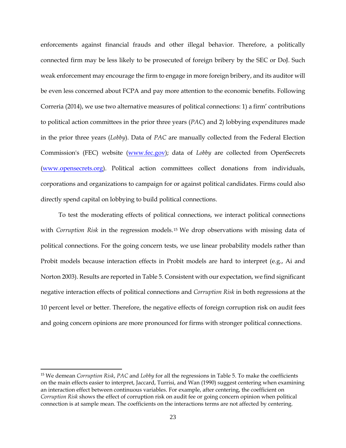enforcements against financial frauds and other illegal behavior. Therefore, a politically connected firm may be less likely to be prosecuted of foreign bribery by the SEC or DoJ. Such weak enforcement may encourage the firm to engage in more foreign bribery, and its auditor will be even less concerned about FCPA and pay more attention to the economic benefits. Following Correria (2014), we use two alternative measures of political connections: 1) a firm' contributions to political action committees in the prior three years (*PAC*) and 2) lobbying expenditures made in the prior three years (*Lobby*). Data of *PAC* are manually collected from the Federal Election Commission's (FEC) website [\(www.fec.gov\)](http://www.fec.gov/); data of *Lobby* are collected from OpenSecrets [\(www.opensecrets.org\)](http://www.opensecrets.org/). Political action committees collect donations from individuals, corporations and organizations to [campaign](https://en.wikipedia.org/wiki/Political_campaign) for or against political candidates. Firms could also directly spend capital on lobbying to build political connections.

To test the moderating effects of political connections, we interact political connections with *Corruption Risk* in the regression models.<sup>15</sup> We drop observations with missing data of political connections. For the going concern tests, we use linear probability models rather than Probit models because interaction effects in Probit models are hard to interpret (e.g., Ai and Norton 2003). Results are reported in Table 5. Consistent with our expectation, we find significant negative interaction effects of political connections and *Corruption Risk* in both regressions at the 10 percent level or better. Therefore, the negative effects of foreign corruption risk on audit fees and going concern opinions are more pronounced for firms with stronger political connections.

 $\overline{\phantom{a}}$ 

<sup>15</sup> We demean *Corruption Risk*, *PAC* and *Lobby* for all the regressions in Table 5. To make the coefficients on the main effects easier to interpret, Jaccard, Turrisi, and Wan (1990) suggest centering when examining an interaction effect between continuous variables. For example, after centering, the coefficient on *Corruption Risk* shows the effect of corruption risk on audit fee or going concern opinion when political connection is at sample mean. The coefficients on the interactions terms are not affected by centering.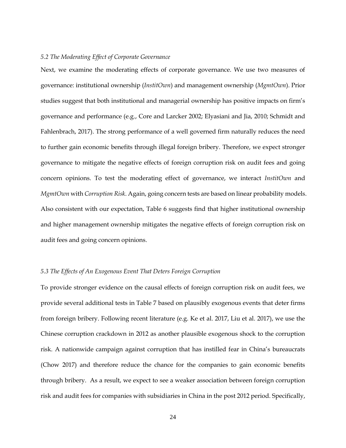## *5.2 The Moderating Effect of Corporate Governance*

Next, we examine the moderating effects of corporate governance. We use two measures of governance: institutional ownership (*InstitOwn*) and management ownership (*MgmtOwn*). Prior studies suggest that both institutional and managerial ownership has positive impacts on firm's governance and performance (e.g., Core and Larcker 2002; Elyasiani and Jia, 2010; Schmidt and Fahlenbrach, 2017). The strong performance of a well governed firm naturally reduces the need to further gain economic benefits through illegal foreign bribery. Therefore, we expect stronger governance to mitigate the negative effects of foreign corruption risk on audit fees and going concern opinions. To test the moderating effect of governance, we interact *InstitOwn* and *MgmtOwn* with *Corruption Risk*. Again, going concern tests are based on linear probability models. Also consistent with our expectation, Table 6 suggests find that higher institutional ownership and higher management ownership mitigates the negative effects of foreign corruption risk on audit fees and going concern opinions.

#### *5.3 The Effects of An Exogenous Event That Deters Foreign Corruption*

To provide stronger evidence on the causal effects of foreign corruption risk on audit fees, we provide several additional tests in Table 7 based on plausibly exogenous events that deter firms from foreign bribery. Following recent literature (e.g. Ke et al. 2017, Liu et al. 2017), we use the Chinese corruption crackdown in 2012 as another plausible exogenous shock to the corruption risk. A nationwide campaign against corruption that has instilled fear in China's bureaucrats (Chow 2017) and therefore reduce the chance for the companies to gain economic benefits through bribery. As a result, we expect to see a weaker association between foreign corruption risk and audit fees for companies with subsidiaries in China in the post 2012 period. Specifically,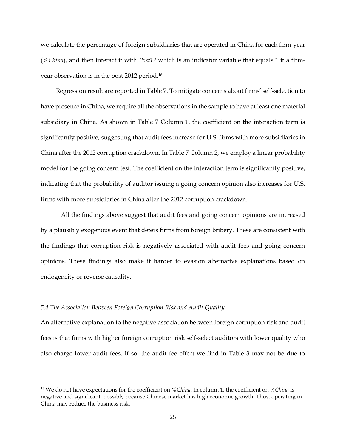we calculate the percentage of foreign subsidiaries that are operated in China for each firm-year (*%China*), and then interact it with *Post12* which is an indicator variable that equals 1 if a firmyear observation is in the post 2012 period.<sup>16</sup>

Regression result are reported in Table 7. To mitigate concerns about firms' self-selection to have presence in China, we require all the observations in the sample to have at least one material subsidiary in China. As shown in Table 7 Column 1, the coefficient on the interaction term is significantly positive, suggesting that audit fees increase for U.S. firms with more subsidiaries in China after the 2012 corruption crackdown. In Table 7 Column 2, we employ a linear probability model for the going concern test. The coefficient on the interaction term is significantly positive, indicating that the probability of auditor issuing a going concern opinion also increases for U.S. firms with more subsidiaries in China after the 2012 corruption crackdown.

All the findings above suggest that audit fees and going concern opinions are increased by a plausibly exogenous event that deters firms from foreign bribery. These are consistent with the findings that corruption risk is negatively associated with audit fees and going concern opinions. These findings also make it harder to evasion alternative explanations based on endogeneity or reverse causality.

#### *5.4 The Association Between Foreign Corruption Risk and Audit Quality*

 $\overline{a}$ 

An alternative explanation to the negative association between foreign corruption risk and audit fees is that firms with higher foreign corruption risk self-select auditors with lower quality who also charge lower audit fees. If so, the audit fee effect we find in Table 3 may not be due to

<sup>16</sup> We do not have expectations for the coefficient on *%China*. In column 1, the coefficient on *%China* is negative and significant, possibly because Chinese market has high economic growth. Thus, operating in China may reduce the business risk.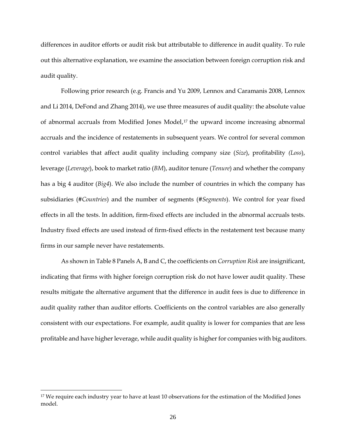differences in auditor efforts or audit risk but attributable to difference in audit quality. To rule out this alternative explanation, we examine the association between foreign corruption risk and audit quality.

Following prior research (e.g. Francis and Yu 2009, Lennox and Caramanis 2008, Lennox and Li 2014, DeFond and Zhang 2014), we use three measures of audit quality: the absolute value of abnormal accruals from Modified Jones Model, <sup>17</sup> the upward income increasing abnormal accruals and the incidence of restatements in subsequent years. We control for several common control variables that affect audit quality including company size (*Size*), profitability *(Loss*), leverage (*Leverage*), book to market ratio (*BM*), auditor tenure (*Tenure*) and whether the company has a big 4 auditor (*Big4*). We also include the number of countries in which the company has subsidiaries (*#Countries*) and the number of segments (*#Segments*). We control for year fixed effects in all the tests. In addition, firm-fixed effects are included in the abnormal accruals tests. Industry fixed effects are used instead of firm-fixed effects in the restatement test because many firms in our sample never have restatements.

As shown in Table 8 Panels A, B and C, the coefficients on *Corruption Risk* are insignificant, indicating that firms with higher foreign corruption risk do not have lower audit quality. These results mitigate the alternative argument that the difference in audit fees is due to difference in audit quality rather than auditor efforts. Coefficients on the control variables are also generally consistent with our expectations. For example, audit quality is lower for companies that are less profitable and have higher leverage, while audit quality is higher for companies with big auditors.

l

<sup>&</sup>lt;sup>17</sup> We require each industry year to have at least 10 observations for the estimation of the Modified Jones model.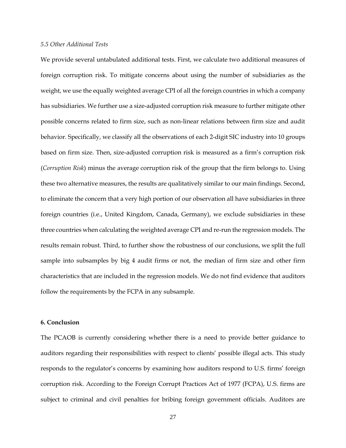#### *5.5 Other Additional Tests*

We provide several untabulated additional tests. First, we calculate two additional measures of foreign corruption risk. To mitigate concerns about using the number of subsidiaries as the weight, we use the equally weighted average CPI of all the foreign countries in which a company has subsidiaries. We further use a size-adjusted corruption risk measure to further mitigate other possible concerns related to firm size, such as non-linear relations between firm size and audit behavior. Specifically, we classify all the observations of each 2-digit SIC industry into 10 groups based on firm size. Then, size-adjusted corruption risk is measured as a firm's corruption risk (*Corruption Risk*) minus the average corruption risk of the group that the firm belongs to. Using these two alternative measures, the results are qualitatively similar to our main findings. Second, to eliminate the concern that a very high portion of our observation all have subsidiaries in three foreign countries (i.e., United Kingdom, Canada, Germany), we exclude subsidiaries in these three countries when calculating the weighted average CPI and re-run the regression models. The results remain robust. Third, to further show the robustness of our conclusions, we split the full sample into subsamples by big 4 audit firms or not, the median of firm size and other firm characteristics that are included in the regression models. We do not find evidence that auditors follow the requirements by the FCPA in any subsample.

#### **6. Conclusion**

The PCAOB is currently considering whether there is a need to provide better guidance to auditors regarding their responsibilities with respect to clients' possible illegal acts. This study responds to the regulator's concerns by examining how auditors respond to U.S. firms' foreign corruption risk. According to the Foreign Corrupt Practices Act of 1977 (FCPA), U.S. firms are subject to criminal and civil penalties for bribing foreign government officials. Auditors are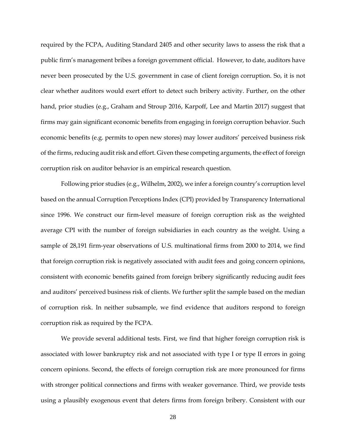required by the FCPA, Auditing Standard 2405 and other security laws to assess the risk that a public firm's management bribes a foreign government official. However, to date, auditors have never been prosecuted by the U.S. government in case of client foreign corruption. So, it is not clear whether auditors would exert effort to detect such bribery activity. Further, on the other hand, prior studies (e.g., Graham and Stroup 2016, Karpoff, Lee and Martin 2017) suggest that firms may gain significant economic benefits from engaging in foreign corruption behavior. Such economic benefits (e.g. permits to open new stores) may lower auditors' perceived business risk of the firms, reducing audit risk and effort. Given these competing arguments, the effect of foreign corruption risk on auditor behavior is an empirical research question.

Following prior studies (e.g., Wilhelm, 2002), we infer a foreign country's corruption level based on the annual Corruption Perceptions Index (CPI) provided by Transparency International since 1996. We construct our firm-level measure of foreign corruption risk as the weighted average CPI with the number of foreign subsidiaries in each country as the weight. Using a sample of 28,191 firm-year observations of U.S. multinational firms from 2000 to 2014, we find that foreign corruption risk is negatively associated with audit fees and going concern opinions, consistent with economic benefits gained from foreign bribery significantly reducing audit fees and auditors' perceived business risk of clients. We further split the sample based on the median of corruption risk. In neither subsample, we find evidence that auditors respond to foreign corruption risk as required by the FCPA.

We provide several additional tests. First, we find that higher foreign corruption risk is associated with lower bankruptcy risk and not associated with type I or type II errors in going concern opinions. Second, the effects of foreign corruption risk are more pronounced for firms with stronger political connections and firms with weaker governance. Third, we provide tests using a plausibly exogenous event that deters firms from foreign bribery. Consistent with our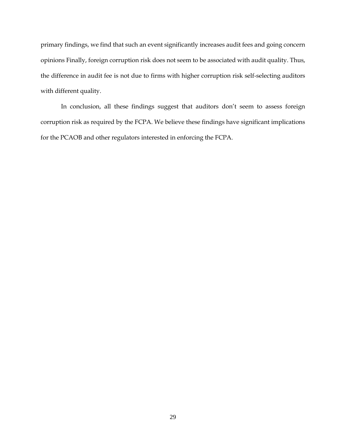primary findings, we find that such an event significantly increases audit fees and going concern opinions Finally, foreign corruption risk does not seem to be associated with audit quality. Thus, the difference in audit fee is not due to firms with higher corruption risk self-selecting auditors with different quality.

In conclusion, all these findings suggest that auditors don't seem to assess foreign corruption risk as required by the FCPA. We believe these findings have significant implications for the PCAOB and other regulators interested in enforcing the FCPA.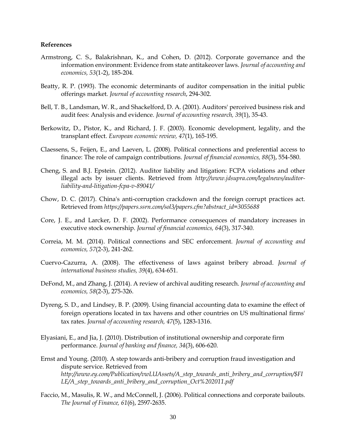#### **References**

- Armstrong, C. S., Balakrishnan, K., and Cohen, D. (2012). Corporate governance and the information environment: Evidence from state antitakeover laws. *Journal of accounting and economics, 53*(1-2), 185-204.
- Beatty, R. P. (1993). The economic determinants of auditor compensation in the initial public offerings market*. Journal of accounting research*, 294-302.
- Bell, T. B., Landsman, W. R., and Shackelford, D. A. (2001). Auditors' perceived business risk and audit fees: Analysis and evidence*. Journal of accounting research, 39*(1), 35-43.
- Berkowitz, D., Pistor, K., and Richard, J. F. (2003). Economic development, legality, and the transplant effect. *European economic review, 47*(1), 165-195.
- Claessens, S., Feijen, E., and Laeven, L. (2008). Political connections and preferential access to finance: The role of campaign contributions. *Journal of financial economics, 88*(3), 554-580.
- Cheng, S. and B.J. Epstein. (2012). Auditor liability and litigation: FCPA violations and other illegal acts by issuer clients. Retrieved from *[http://www.jdsupra.com/legalnews/auditor](http://www.jdsupra.com/legalnews/auditor-liability-and-litigation-fcpa-v-89041/)[liability-and-litigation-fcpa-v-89041/](http://www.jdsupra.com/legalnews/auditor-liability-and-litigation-fcpa-v-89041/)*
- Chow, D. C. (2017). China's anti-corruption crackdown and the foreign corrupt practices act. Retrieved from *[https://papers.ssrn.com/sol3/papers.cfm?abstract\\_id=3055688](https://papers.ssrn.com/sol3/papers.cfm?abstract_id=3055688)*
- Core, J. E., and Larcker, D. F. (2002). Performance consequences of mandatory increases in executive stock ownership. *Journal of financial economics, 64*(3), 317-340.
- Correia, M. M. (2014). Political connections and SEC enforcement. *Journal of accounting and economics, 57*(2-3), 241-262.
- Cuervo-Cazurra, A. (2008). The effectiveness of laws against bribery abroad. *Journal of international business studies, 39*(4), 634-651.
- DeFond, M., and Zhang, J. (2014). A review of archival auditing research. *Journal of accounting and economics, 58*(2-3), 275-326.
- Dyreng, S. D., and Lindsey, B. P. (2009). Using financial accounting data to examine the effect of foreign operations located in tax havens and other countries on US multinational firms' tax rates. *Journal of accounting research, 47*(5), 1283-1316.
- Elyasiani, E., and Jia, J. (2010). Distribution of institutional ownership and corporate firm performance. *Journal of banking and finance, 34*(3), 606-620.
- Ernst and Young. (2010). A step towards anti-bribery and corruption fraud investigation and dispute service. Retrieved from *[http://www.ey.com/Publication/vwLUAssets/A\\_step\\_towards\\_anti\\_bribery\\_and\\_corruption/\\$FI](http://www.ey.com/Publication/vwLUAssets/A_step_towards_anti_bribery_and_corruption/$FILE/A_step_towards_anti_bribery_and_corruption_Oct%202011.pdf) [LE/A\\_step\\_towards\\_anti\\_bribery\\_and\\_corruption\\_Oct%202011.pdf](http://www.ey.com/Publication/vwLUAssets/A_step_towards_anti_bribery_and_corruption/$FILE/A_step_towards_anti_bribery_and_corruption_Oct%202011.pdf)*
- Faccio, M., Masulis, R. W., and McConnell, J. (2006). Political connections and corporate bailouts. *The Journal of Finance, 61*(6), 2597-2635.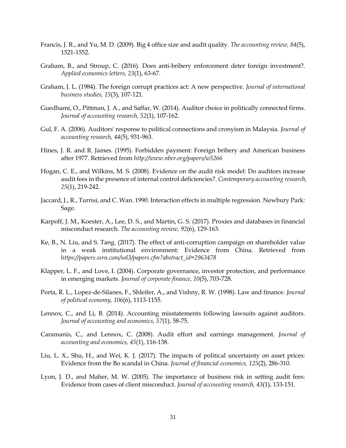- Francis, J. R., and Yu, M. D. (2009). Big 4 office size and audit quality*. The accounting review, 84*(5), 1521-1552.
- Graham, B., and Stroup, C. (2016). Does anti-bribery enforcement deter foreign investment?. *Applied economics letters, 23*(1), 63-67.
- Graham, J. L. (1984). The foreign corrupt practices act: A new perspective. *Journal of international business studies, 15*(3), 107-121.
- Guedhami, O., Pittman, J. A., and Saffar, W. (2014). Auditor choice in politically connected firms. *Journal of accounting research, 52*(1), 107-162.
- Gul, F. A. (2006). Auditors' response to political connections and cronyism in Malaysia. *Journal of accounting research, 44*(5), 931-963.
- Hines, J. R. and R. James. (1995). Forbidden payment: Foreign bribery and American business after 1977. Retrieved from *<http://www.nber.org/papers/w5266>*
- Hogan, C. E., and Wilkins, M. S. (2008). Evidence on the audit risk model: Do auditors increase audit fees in the presence of internal control deficiencies?. *Contemporary accounting research, 25*(1), 219-242.
- Jaccard, J., R., Turrisi, and C. Wan. 1990. Interaction effects in multiple regression. Newbury Park: Sage.
- Karpoff, J. M., Koester, A., Lee, D. S., and Martin, G. S. (2017). Proxies and databases in financial misconduct research. *The accounting review, 92*(6), 129-163.
- Ke, B., N. Liu, and S. Tang. (2017). The effect of anti-corruption campaign on shareholder value in a weak institutional environment: Evidence from China. Retrieved from *[https://papers.ssrn.com/sol3/papers.cfm?abstract\\_id=2963478](https://papers.ssrn.com/sol3/papers.cfm?abstract_id=2963478)*
- Klapper, L. F., and Love, I. (2004). Corporate governance, investor protection, and performance in emerging markets. *Journal of corporate finance, 10*(5), 703-728.
- Porta, R. L., Lopez-de-Silanes, F., Shleifer, A., and Vishny, R. W. (1998). Law and finance. *Journal of political economy, 106*(6), 1113-1155.
- Lennox, C., and Li, B. (2014). Accounting misstatements following lawsuits against auditors. *Journal of accounting and economics, 57*(1), 58-75.
- Caramanis, C., and Lennox, C. (2008). Audit effort and earnings management. *Journal of accounting and economics, 45*(1), 116-138.
- Liu, L. X., Shu, H., and Wei, K. J. (2017). The impacts of political uncertainty on asset prices: Evidence from the Bo scandal in China. *Journal of financial economics, 125*(2), 286-310.
- Lyon, J. D., and Maher, M. W. (2005). The importance of business risk in setting audit fees: Evidence from cases of client misconduct. *Journal of accounting research, 43*(1), 133-151.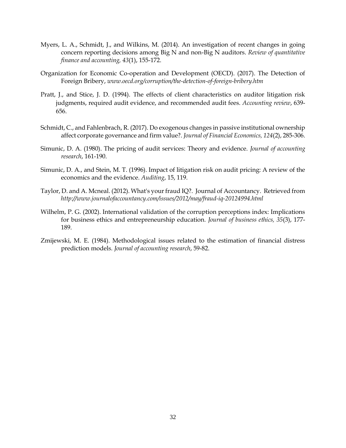- Myers, L. A., Schmidt, J., and Wilkins, M. (2014). An investigation of recent changes in going concern reporting decisions among Big N and non-Big N auditors. *Review of quantitative finance and accounting, 43*(1), 155-172.
- Organization for Economic Co-operation and Development (OECD). (2017). The Detection of Foreign Bribery, *[www.oecd.org/corruption/the-detection-of-foreign-bribery.htm](http://www.oecd.org/corruption/the-detection-of-foreign-bribery.htm)*
- Pratt, J., and Stice, J. D. (1994). The effects of client characteristics on auditor litigation risk judgments, required audit evidence, and recommended audit fees. *Accounting review*, 639- 656.
- Schmidt, C., and Fahlenbrach, R. (2017). Do exogenous changes in passive institutional ownership affect corporate governance and firm value?. *Journal of Financial Economics, 124*(2), 285-306.
- Simunic, D. A. (1980). The pricing of audit services: Theory and evidence. *Journal of accounting research*, 161-190.
- Simunic, D. A., and Stein, M. T. (1996). Impact of litigation risk on audit pricing: A review of the economics and the evidence. *Auditing*, 15, 119.
- Taylor, D. and A. Mcneal. (2012). What's your fraud IQ?. Journal of Accountancy. Retrieved from *http://www.journalofaccountancy.com/issues/2012/may/fraud-iq-20124994.html*
- Wilhelm, P. G. (2002). International validation of the corruption perceptions index: Implications for business ethics and entrepreneurship education*. Journal of business ethics, 35*(3), 177- 189.
- Zmijewski, M. E. (1984). Methodological issues related to the estimation of financial distress prediction models*. Journal of accounting research*, 59-82.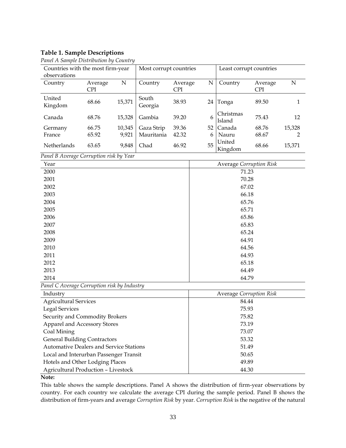# **Table 1. Sample Descriptions**

| ◡<br>◡<br>Countries with the most firm-year |            |        | Most corrupt countries |            | Least corrupt countries |                     |         |        |
|---------------------------------------------|------------|--------|------------------------|------------|-------------------------|---------------------|---------|--------|
| observations                                |            |        |                        |            |                         |                     |         |        |
| Country                                     | Average    | N      | Country                | Average    | N                       | Country             | Average | N      |
|                                             | <b>CPI</b> |        |                        | <b>CPI</b> |                         |                     | CPI     |        |
| United<br>Kingdom                           | 68.66      | 15,371 | South<br>Georgia       | 38.93      | 24                      | Tonga               | 89.50   | 1      |
| Canada                                      | 68.76      | 15,328 | Gambia                 | 39.20      | 6                       | Christmas<br>Island | 75.43   | 12     |
| Germany                                     | 66.75      | 10,345 | Gaza Strip             | 39.36      | 52                      | Canada              | 68.76   | 15,328 |
| France                                      | 65.92      | 9.921  | Mauritania             | 42.32      | 6                       | Nauru               | 68.67   | 2      |
| <b>Netherlands</b>                          | 63.65      | 9,848  | Chad                   | 46.92      | 55                      | United<br>Kingdom   | 68.66   | 15,371 |

*Panel A Sample Distribution by Country*

*Panel B Average Corruption risk by Year*

| Year                                           | <b>Average Corruption Risk</b> |
|------------------------------------------------|--------------------------------|
| 2000                                           | 71.23                          |
| 2001                                           | 70.28                          |
| 2002                                           | 67.02                          |
| 2003                                           | 66.18                          |
| 2004                                           | 65.76                          |
| 2005                                           | 65.71                          |
| 2006                                           | 65.86                          |
| 2007                                           | 65.83                          |
| 2008                                           | 65.24                          |
| 2009                                           | 64.91                          |
| 2010                                           | 64.56                          |
| 2011                                           | 64.93                          |
| 2012                                           | 65.18                          |
| 2013                                           | 64.49                          |
| 2014                                           | 64.79                          |
| Panel C Average Corruption risk by Industry    |                                |
| Industry                                       | <b>Average Corruption Risk</b> |
| <b>Agricultural Services</b>                   | 84.44                          |
| <b>Legal Services</b>                          | 75.93                          |
| Security and Commodity Brokers                 | 75.82                          |
| Apparel and Accessory Stores                   | 73.19                          |
| Coal Mining                                    | 73.07                          |
| <b>General Building Contractors</b>            | 53.32                          |
| <b>Automative Dealers and Service Stations</b> | 51.49                          |
| Local and Interurban Passenger Transit         | 50.65                          |

**Note:**

This table shows the sample descriptions. Panel A shows the distribution of firm-year observations by country. For each country we calculate the average CPI during the sample period. Panel B shows the distribution of firm-years and average *Corruption Risk* by year. *Corruption Risk* is the negative of the natural

Hotels and Other Lodging Places 49.89 Agricultural Production – Livestock and the set of the 44.30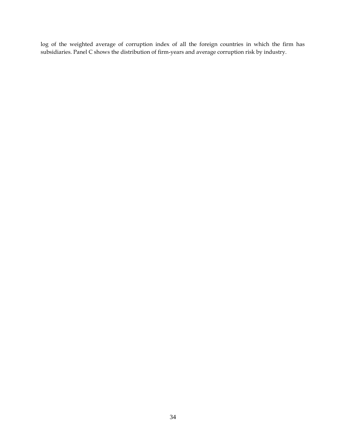log of the weighted average of corruption index of all the foreign countries in which the firm has subsidiaries. Panel C shows the distribution of firm-years and average corruption risk by industry.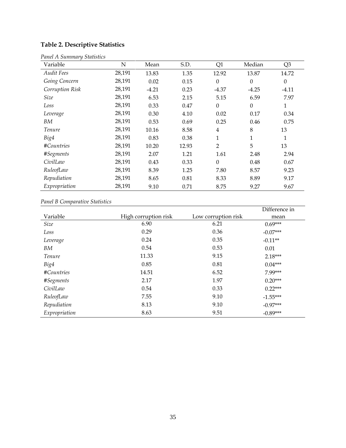# **Table 2. Descriptive Statistics**

| Variable          | $\mathbf N$ | Mean    | S.D.  | Q <sub>1</sub>   | Median           | Q <sub>3</sub> |
|-------------------|-------------|---------|-------|------------------|------------------|----------------|
| <b>Audit Fees</b> | 28,191      | 13.83   | 1.35  | 12.92            | 13.87            | 14.72          |
| Going Concern     | 28,191      | 0.02    | 0.15  | $\theta$         | $\boldsymbol{0}$ | $\theta$       |
| Corruption Risk   | 28,191      | $-4.21$ | 0.23  | $-4.37$          | $-4.25$          | $-4.11$        |
| Size              | 28,191      | 6.53    | 2.15  | 5.15             | 6.59             | 7.97           |
| Loss              | 28,191      | 0.33    | 0.47  | $\boldsymbol{0}$ | $\boldsymbol{0}$ | $\mathbf{1}$   |
| Leverage          | 28,191      | 0.30    | 4.10  | 0.02             | 0.17             | 0.34           |
| BM                | 28,191      | 0.53    | 0.69  | 0.25             | 0.46             | 0.75           |
| Tenure            | 28,191      | 10.16   | 8.58  | $\overline{4}$   | 8                | 13             |
| Big4              | 28,191      | 0.83    | 0.38  | 1                | 1                | 1              |
| #Countries        | 28,191      | 10.20   | 12.93 | $\overline{2}$   | 5                | 13             |
| #Segments         | 28,191      | 2.07    | 1.21  | 1.61             | 2.48             | 2.94           |
| CivilLaw          | 28,191      | 0.43    | 0.33  | $\theta$         | 0.48             | 0.67           |
| RuleofLaw         | 28,191      | 8.39    | 1.25  | 7.80             | 8.57             | 9.23           |
| Repudiation       | 28,191      | 8.65    | 0.81  | 8.33             | 8.89             | 9.17           |
| Expropriation     | 28,191      | 9.10    | 0.71  | 8.75             | 9.27             | 9.67           |

# *Panel A Summary Statistics*

# *Panel B Comparative Statistics*

|               |                      |                     | Difference in |
|---------------|----------------------|---------------------|---------------|
| Variable      | High corruption risk | Low corruption risk | mean          |
| Size          | 6.90                 | 6.21                | $0.69***$     |
| Loss          | 0.29                 | 0.36                | $-0.07***$    |
| Leverage      | 0.24                 | 0.35                | $-0.11**$     |
| BМ            | 0.54                 | 0.53                | 0.01          |
| <i>Tenure</i> | 11.33                | 9.15                | $2.18***$     |
| Big4          | 0.85                 | 0.81                | $0.04***$     |
| #Countries    | 14.51                | 6.52                | 7.99***       |
| #Segments     | 2.17                 | 1.97                | $0.20***$     |
| CivilLaw      | 0.54                 | 0.33                | $0.22***$     |
| RuleofLaw     | 7.55                 | 9.10                | $-1.55***$    |
| Repudiation   | 8.13                 | 9.10                | $-0.97***$    |
| Expropriation | 8.63                 | 9.51                | $-0.89***$    |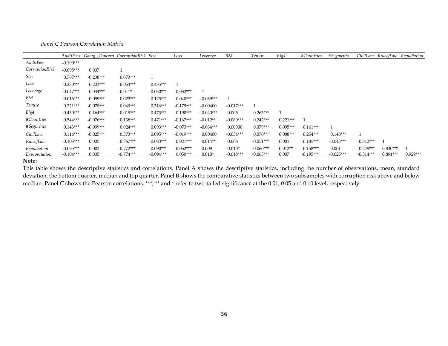*Panel C Pearson Correlation Matrix*

|                | AuditFees   | Going Concern CorruptionRisk Size |             |             | Loss        | Leverage    | BM          | Tenure      | Big4       | #Countries   | #Segments   |             |            | CivilLaw RuleofLaw Repudiation |
|----------------|-------------|-----------------------------------|-------------|-------------|-------------|-------------|-------------|-------------|------------|--------------|-------------|-------------|------------|--------------------------------|
| AuditFees      | $-0.190***$ |                                   |             |             |             |             |             |             |            |              |             |             |            |                                |
| CorruptionRisk | $-0.095***$ | 0.007                             |             |             |             |             |             |             |            |              |             |             |            |                                |
| Size           | $0.767***$  | $-0.238***$                       | $0.073***$  |             |             |             |             |             |            |              |             |             |            |                                |
| Loss           | $-0.280***$ | $0.201***$                        | $-0.054***$ | $-0.435***$ |             |             |             |             |            |              |             |             |            |                                |
| Leverage       | $-0.047***$ | $0.034***$                        | $-0.011*$   | $-0.030***$ | $0.032***$  |             |             |             |            |              |             |             |            |                                |
| BМ             | $-0.016***$ | $-0.099***$                       | $0.023***$  | $-0.123***$ | $0.040***$  | $-0.039***$ |             |             |            |              |             |             |            |                                |
| Tenure         | $0.321***$  | $-0.078***$                       | $0.049***$  | $0.316***$  | $-0.179***$ | $-0.00600$  | $-0.017***$ |             |            |              |             |             |            |                                |
| Big4           | $0.430***$  | $-0.164***$                       | $-0.019***$ | $0.473***$  | $-0.190***$ | $-0.040***$ | $-0.005$    | $0.263***$  |            |              |             |             |            |                                |
| #Countries     | $0.544***$  | $-0.076***$                       | $0.138***$  | $0.471***$  | $-0.167***$ | $-0.012**$  | $-0.060***$ | $0.242***$  | $0.221***$ | $\mathbf{1}$ |             |             |            |                                |
| #Segments      | $0.143***$  | $-0.099***$                       | $0.024***$  | $0.093***$  | $-0.073***$ | $-0.034***$ | 0.00900     | $0.079***$  | $0.095***$ | $0.161***$   |             |             |            |                                |
| CivilLaw       | $0.116***$  | $-0.025***$                       | $0.373***$  | $0.095***$  | $-0.019***$ | 0.00400     | $-0.034***$ | $0.070***$  | $0.088***$ | $0.254***$   | $0.148***$  |             |            |                                |
| RuleofLaw      | $-0.105***$ | 0.005                             | $-0.767***$ | $-0.083***$ | $0.021***$  | $0.014**$   | $-0.006$    | $-0.051***$ | $-0.001$   | $-0.185***$  | $-0.043***$ | $-0.312***$ |            |                                |
| Repudiation    | $-0.095***$ | $-0.002$                          | $-0.772***$ | $-0.090***$ | $0.052***$  | 0.009       | $-0.010*$   | $-0.060***$ | $0.012**$  | $-0.158***$  | 0.001       | $-0.249***$ | $0.830***$ |                                |
| Expropriation  | $-0.104***$ | 0.005                             | $-0.774***$ | $-0.094***$ | $0.050***$  | $0.010*$    | $-0.018***$ | $-0.065***$ | 0.007      | $-0.195***$  | $-0.025***$ | $-0.314***$ | $0.891***$ | $0.929***$                     |

#### **Note:**

This table shows the descriptive statistics and correlations. Panel A shows the descriptive statistics, including the number of observations, mean, standard deviation, the bottom quarter, median and top quarter. Panel B shows the comparative statistics between two subsamples with corruption risk above and below median. Panel C shows the Pearson correlations. \*\*\*, \*\* and \* refer to two-tailed significance at the 0.01, 0.05 and 0.10 level, respectively.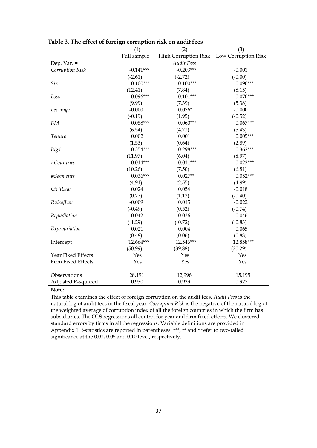|                    | (1)         | (2)                                      | (3)        |
|--------------------|-------------|------------------------------------------|------------|
|                    | Full sample | High Corruption Risk Low Corruption Risk |            |
| Dep. Var. $=$      |             | <b>Audit Fees</b>                        |            |
| Corruption Risk    | $-0.141***$ | $-0.203***$                              | $-0.001$   |
|                    | $(-2.61)$   | $(-2.72)$                                | $(-0.00)$  |
| Size               | $0.100***$  | $0.100***$                               | $0.090***$ |
|                    | (12.41)     | (7.84)                                   | (8.15)     |
| Loss               | $0.096***$  | $0.101***$                               | $0.070***$ |
|                    | (9.99)      | (7.39)                                   | (5.38)     |
| Leverage           | $-0.000$    | $0.076*$                                 | $-0.000$   |
|                    | $(-0.19)$   | (1.95)                                   | $(-0.52)$  |
| BM                 | $0.058***$  | $0.060***$                               | $0.067***$ |
|                    | (6.54)      | (4.71)                                   | (5.43)     |
| Tenure             | 0.002       | 0.001                                    | $0.005***$ |
|                    | (1.53)      | (0.64)                                   | (2.89)     |
| Big4               | $0.354***$  | $0.298***$                               | $0.362***$ |
|                    | (11.97)     | (6.04)                                   | (8.97)     |
| #Countries         | $0.014***$  | $0.011***$                               | $0.022***$ |
|                    | (10.26)     | (7.50)                                   | (6.81)     |
| #Segments          | $0.036***$  | $0.027**$                                | $0.052***$ |
|                    | (4.91)      | (2.55)                                   | (4.99)     |
| CivilLaw           | 0.024       | 0.054                                    | $-0.018$   |
|                    | (0.77)      | (1.12)                                   | $(-0.40)$  |
| RuleofLaw          | $-0.009$    | 0.015                                    | $-0.022$   |
|                    | $(-0.49)$   | (0.52)                                   | $(-0.74)$  |
| Repudiation        | $-0.042$    | $-0.036$                                 | $-0.046$   |
|                    | $(-1.29)$   | $(-0.72)$                                | $(-0.83)$  |
| Expropriation      | 0.021       | 0.004                                    | 0.065      |
|                    | (0.48)      | (0.06)                                   | (0.88)     |
| Intercept          | 12.664***   | 12.546***                                | 12.858***  |
|                    | (50.99)     | (39.88)                                  | (20.29)    |
| Year Fixed Effects | Yes         | Yes                                      | Yes        |
| Firm Fixed Effects | Yes         | Yes                                      | Yes        |
| Observations       | 28,191      | 12,996                                   | 15,195     |
| Adjusted R-squared | 0.930       | 0.939                                    | 0.927      |

**Table 3. The effect of foreign corruption risk on audit fees**

#### **Note:**

This table examines the effect of foreign corruption on the audit fees. *Audit Fees* is the natural log of audit fees in the fiscal year. *Corruption Risk* is the negative of the natural log of the weighted average of corruption index of all the foreign countries in which the firm has subsidiaries. The OLS regressions all control for year and firm fixed effects. We clustered standard errors by firms in all the regressions. Variable definitions are provided in Appendix 1. *t-*statistics are reported in parentheses. \*\*\*, \*\* and \* refer to two-tailed significance at the 0.01, 0.05 and 0.10 level, respectively.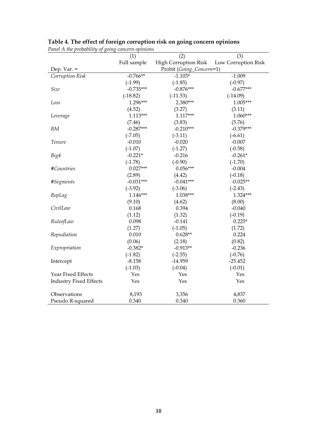|                               | (1)         | (2)                      | (3)                 |
|-------------------------------|-------------|--------------------------|---------------------|
|                               | Full sample | High Corruption Risk     | Low Corruption Risk |
| Dep. Var. $=$                 |             | Probit (Going_Concern=1) |                     |
| Corruption Risk               | $-0.766**$  | $-1.103*$                | $-1.009$            |
|                               | $(-1.99)$   | $(-1.85)$                | $(-0.97)$           |
| Size                          | $-0.735***$ | $-0.876***$              | $-0.677***$         |
|                               | $(-18.82)$  | $(-11.53)$               | $(-14.09)$          |
| Loss                          | $1.296***$  | 2.380***                 | $1.005***$          |
|                               | (4.52)      | (3.27)                   | (3.11)              |
| Leverage                      | $1.113***$  | $1.117***$               | $1.060***$          |
|                               | (7.46)      | (3.83)                   | (5.76)              |
| <b>BM</b>                     | $-0.287***$ | $-0.210***$              | $-0.379***$         |
|                               | $(-7.05)$   | $(-3.11)$                | $(-6.61)$           |
| Tenure                        | $-0.010$    | $-0.020$                 | $-0.007$            |
|                               | $(-1.07)$   | $(-1.27)$                | $(-0.58)$           |
| Big4                          | $-0.221*$   | $-0.216$                 | $-0.261*$           |
|                               | $(-1.78)$   | $(-0.90)$                | $(-1.70)$           |
| #Countries                    | $0.027***$  | $0.056***$               | $-0.004$            |
|                               | (2.89)      | (4.42)                   | $(-0.18)$           |
| #Segments                     | $-0.031***$ | $-0.041***$              | $-0.025**$          |
|                               | $(-3.92)$   | $(-3.06)$                | $(-2.43)$           |
| RepLag                        | $1.146***$  | 1.038***                 | 1.324***            |
|                               | (9.10)      | (4.62)                   | (8.00)              |
| CivilLaw                      | 0.168       | 0.394                    | $-0.040$            |
|                               | (1.12)      | (1.32)                   | $(-0.19)$           |
| RuleofLaw                     | 0.098       | $-0.141$                 | $0.225*$            |
|                               | (1.27)      | $(-1.05)$                | (1.72)              |
| Repudiation                   | 0.010       | $0.628**$                | 0.224               |
|                               | (0.06)      | (2.18)                   | (0.82)              |
| Expropriation                 | $-0.382*$   | $-0.913**$               | $-0.236$            |
|                               | $(-1.82)$   | $(-2.55)$                | $(-0.76)$           |
| Intercept                     | $-8.158$    | $-14.959$                | $-25.452$           |
|                               | $(-1.03)$   | $(-0.04)$                | $(-0.01)$           |
| Year Fixed Effects            | Yes         | Yes                      | Yes                 |
| <b>Industry Fixed Effects</b> | Yes         | Yes                      | Yes                 |
| Observations                  | 8,193       | 3,356                    | 4,837               |
| Pseudo R-squared              | 0.340       | 0.340                    | 0.360               |

# **Table 4. The effect of foreign corruption risk on going concern opinions**

*Panel A the probability of going concern opinions*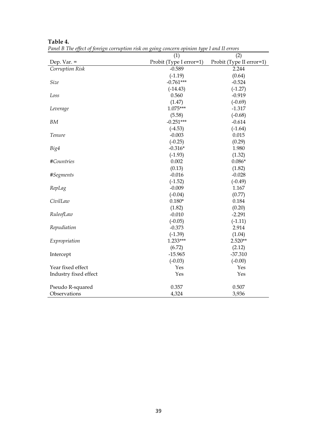|                       | (1)                     | (2)                      |
|-----------------------|-------------------------|--------------------------|
| Dep. Var. $=$         | Probit (Type I error=1) | Probit (Type II error=1) |
| Corruption Risk       | $-0.589$                | 2.244                    |
|                       | $(-1.19)$               | (0.64)                   |
| Size                  | $-0.761***$             | $-0.524$                 |
|                       | $(-14.43)$              | $(-1.27)$                |
| Loss                  | 0.560                   | $-0.919$                 |
|                       | (1.47)                  | $(-0.69)$                |
| Leverage              | 1.075***                | $-1.317$                 |
|                       | (5.58)                  | $(-0.68)$                |
| BM                    | $-0.251***$             | $-0.614$                 |
|                       | $(-4.53)$               | $(-1.64)$                |
| Tenure                | $-0.003$                | 0.015                    |
|                       | $(-0.25)$               | (0.29)                   |
| Big4                  | $-0.316*$               | 1.980                    |
|                       | $(-1.93)$               | (1.32)                   |
| #Countries            | 0.002                   | $0.086*$                 |
|                       | (0.13)                  | (1.82)                   |
| #Segments             | $-0.016$                | $-0.028$                 |
|                       | $(-1.52)$               | $(-0.49)$                |
| RepLag                | $-0.009$                | 1.167                    |
|                       | $(-0.04)$               | (0.77)                   |
| CivilLaw              | $0.180*$                | 0.184                    |
|                       | (1.82)                  | (0.20)                   |
| RuleofLaw             | $-0.010$                | $-2.291$                 |
|                       | $(-0.05)$               | $(-1.11)$                |
| Repudiation           | $-0.373$                | 2.914                    |
|                       | $(-1.39)$               | (1.04)                   |
| Expropriation         | 1.233***                | $2.520**$                |
|                       | (6.72)                  | (2.12)                   |
| Intercept             | $-15.965$               | $-37.310$                |
|                       | $(-0.03)$               | $(-0.00)$                |
| Year fixed effect     | Yes                     | Yes                      |
| Industry fixed effect | Yes                     | Yes                      |
| Pseudo R-squared      | 0.357                   | 0.507                    |
| Observations          | 4,324                   | 3,936                    |

**Table 4.**

*Panel B The effect of foreign corruption risk on going concern opinion type I and II errors*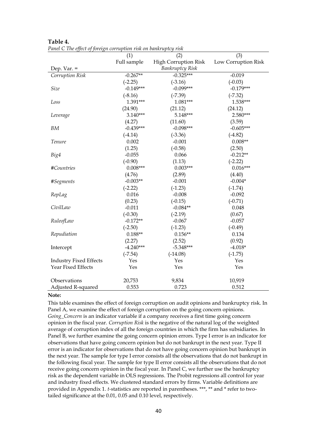|                               | (1)         | (2)                    | (3)                 |
|-------------------------------|-------------|------------------------|---------------------|
|                               | Full sample | High Corruption Risk   | Low Corruption Risk |
| Dep. Var. $=$                 |             | <b>Bankruptcy Risk</b> |                     |
| Corruption Risk               | $-0.267**$  | $-0.325***$            | $-0.019$            |
|                               | $(-2.25)$   | $(-3.16)$              | $(-0.03)$           |
| Size                          | $-0.149***$ | $-0.099***$            | $-0.179***$         |
|                               | $(-8.16)$   | $(-7.39)$              | $(-7.32)$           |
| Loss                          | 1.391***    | 1.081***               | 1.538***            |
|                               | (24.90)     | (21.12)                | (24.12)             |
| Leverage                      | $3.140***$  | 5.148***               | 2.580***            |
|                               | (4.27)      | (11.60)                | (3.59)              |
| <b>BM</b>                     | $-0.439***$ | $-0.098***$            | $-0.605***$         |
|                               | $(-4.14)$   | $(-3.36)$              | $(-4.82)$           |
| Tenure                        | 0.002       | $-0.001$               | $0.008**$           |
|                               | (1.25)      | $(-0.58)$              | (2.50)              |
| Big4                          | $-0.055$    | 0.066                  | $-0.212**$          |
|                               | $(-0.90)$   | (1.13)                 | $(-2.22)$           |
| #Countries                    | $0.008***$  | $0.003***$             | $0.016***$          |
|                               | (4.76)      | (2.89)                 | (4.40)              |
| #Segments                     | $-0.003**$  | $-0.001$               | $-0.004*$           |
|                               | $(-2.22)$   | $(-1.23)$              | $(-1.74)$           |
| RepLag                        | 0.016       | $-0.008$               | $-0.092$            |
|                               | (0.23)      | $(-0.15)$              | $(-0.71)$           |
| CivilLaw                      | $-0.011$    | $-0.084**$             | 0.048               |
|                               | $(-0.30)$   | $(-2.19)$              | (0.67)              |
| RuleofLaw                     | $-0.172**$  | $-0.067$               | $-0.057$            |
|                               | $(-2.50)$   | $(-1.23)$              | $(-0.49)$           |
| Repudiation                   | $0.188**$   | $0.156**$              | 0.134               |
|                               | (2.27)      | (2.52)                 | (0.92)              |
| Intercept                     | $-4.240***$ | $-5.348***$            | $-4.018*$           |
|                               | $(-7.54)$   | $(-14.08)$             | $(-1.75)$           |
| <b>Industry Fixed Effects</b> | Yes         | Yes                    | Yes                 |
| Year Fixed Effects            | Yes         | Yes                    | Yes                 |
|                               |             |                        |                     |
| Observations                  | 20,753      | 9,834                  | 10,919              |
| Adjusted R-squared            | 0.553       | 0.723                  | 0.512               |

**Table 4.** *Panel C The effect of foreign corruption risk on bankruptcy risk*

#### **Note:**

This table examines the effect of foreign corruption on audit opinions and bankruptcy risk. In Panel A, we examine the effect of foreign corruption on the going concern opinions. *Going\_Concern* is an indicator variable if a company receives a first time going concern opinion in the fiscal year. *Corruption Risk* is the negative of the natural log of the weighted average of corruption index of all the foreign countries in which the firm has subsidiaries. In Panel B, we further examine the going concern opinion errors. Type I error is an indicator for observations that have going concern opinion but do not bankrupt in the next year. Type II error is an indicator for observations that do not have going concern opinion but bankrupt in the next year. The sample for type I error consists all the observations that do not bankrupt in the following fiscal year. The sample for type II error consists all the observations that do not receive going concern opinion in the fiscal year. In Panel C, we further use the bankruptcy risk as the dependent variable in OLS regressions. The Probit regressions all control for year and industry fixed effects. We clustered standard errors by firms. Variable definitions are provided in Appendix 1. *t-*statistics are reported in parentheses. \*\*\*, \*\* and \* refer to twotailed significance at the 0.01, 0.05 and 0.10 level, respectively.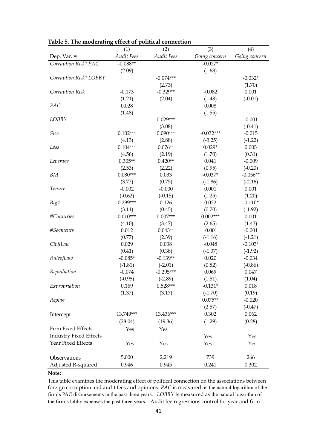| radic 9. The moderating effect of political connection |                   |                   |               |               |
|--------------------------------------------------------|-------------------|-------------------|---------------|---------------|
|                                                        | (1)               | (2)               | (3)           | (4)           |
| Dep. Var. $=$                                          | <b>Audit Fees</b> | <b>Audit Fees</b> | Going concern | Going concern |
| Corruption Risk* PAC                                   | $-0.088**$        |                   | $-0.027*$     |               |
|                                                        | (2.09)            |                   | (1.68)        |               |
| Corruption Risk* LOBBY                                 |                   | $-0.074***$       |               | $-0.032*$     |
|                                                        |                   | (2.73)            |               | (1.70)        |
| Corruption Risk                                        | $-0.173$          | $-0.329**$        | $-0.082$      | 0.001         |
|                                                        | (1.21)            | (2.04)            | (1.48)        | $(-0.01)$     |
| PAC                                                    | 0.028             |                   | 0.008         |               |
|                                                        | (1.48)            |                   | (1.55)        |               |
| LOBBY                                                  |                   | $0.029***$        |               | $-0.001$      |
|                                                        |                   | (3.08)            |               | $(-0.41)$     |
| Size                                                   | $0.102***$        | $0.090***$        | $-0.032***$   | $-0.015$      |
|                                                        | (4.13)            | (2.88)            | $(-3.25)$     | $(-1.22)$     |
| Loss                                                   | $0.104***$        | $0.076**$         | $0.029*$      | 0.005         |
|                                                        | (4.56)            | (2.19)            | (1.70)        | (0.31)        |
| Leverage                                               | $0.305**$         | $0.420**$         | 0.041         | $-0.009$      |
|                                                        | (2.53)            | (2.22)            | (0.95)        | $(-0.20)$     |
| <b>BM</b>                                              | $0.080***$        | 0.033             | $-0.037*$     | $-0.056**$    |
|                                                        | (3.77)            | (0.75)            | $(-1.86)$     | $(-2.16)$     |
| Tenure                                                 | $-0.002$          | $-0.000$          | 0.001         | 0.001         |
|                                                        | $(-0.62)$         | $(-0.15)$         | (1.25)        | (1.20)        |
| Big4                                                   | $0.299***$        | 0.126             | 0.022         | $-0.110*$     |
|                                                        | (3.11)            | (0.45)            | (0.70)        | $(-1.92)$     |
| #Countries                                             | $0.010***$        | $0.007***$        | $0.002***$    | 0.001         |
|                                                        | (4.10)            | (3.47)            | (2.65)        | (1.43)        |
| #Segments                                              | 0.012             | $0.043**$         | $-0.001$      | $-0.001$      |
|                                                        | (0.77)            | (2.39)            | $(-1.16)$     | $(-1.21)$     |
| CivilLaw                                               | 0.029             | 0.038             | $-0.048$      | $-0.103*$     |
|                                                        | (0.41)            | (0.38)            | $(-1.37)$     | $(-1.92)$     |
| RuleofLaw                                              | $-0.085*$         | $-0.139**$        | 0.020         | $-0.034$      |
|                                                        | $(-1.81)$         | $(-2.01)$         | (0.82)        | $(-0.86)$     |
| Repudiation                                            | $-0.074$          | $-0.295***$       | 0.069         | 0.047         |
|                                                        | $(-0.95)$         | $(-2.89)$         | (1.51)        | (1.04)        |
| Expropriation                                          | 0.169             | $0.528***$        | $-0.131*$     | 0.018         |
|                                                        |                   |                   |               |               |
|                                                        | (1.37)            | (3.17)            | $(-1.70)$     | (0.19)        |
| Replag                                                 |                   |                   | $0.075**$     | $-0.020$      |
|                                                        |                   |                   | (2.57)        | $(-0.47)$     |
| Intercept                                              | 13.749***         | 13.436***         | 0.302         | 0.062         |
|                                                        | (28.04)           | (19.36)           | (1.29)        | (0.28)        |
| <b>Firm Fixed Effects</b>                              | Yes               | Yes               |               |               |
| <b>Industry Fixed Effects</b>                          |                   |                   | Yes           | Yes           |
| Year Fixed Effects                                     | Yes               | Yes               | Yes           | Yes           |
| Observations                                           | 5,000             | 2,219             | 739           | 266           |
| Adjusted R-squared                                     | 0.946             | 0.945             | 0.241         | 0.302         |
|                                                        |                   |                   |               |               |

**Table 5. The moderating effect of political connection**

## **Note:**

This table examines the moderating effect of political connection on the associations between foreign corruption and audit fees and opinions. *PAC* is measured as the natural logarithm of the firm's PAC disbursements in the past three years. *LOBBY* is measured as the natural logarithm of the firm's lobby expenses the past three years. Audit fee regressions control for year and firm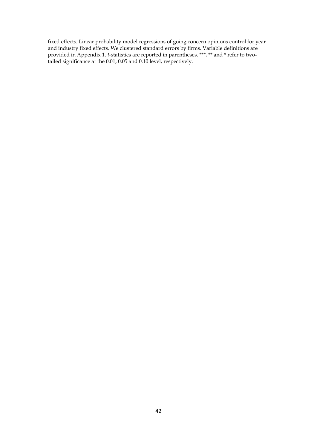fixed effects. Linear probability model regressions of going concern opinions control for year and industry fixed effects. We clustered standard errors by firms. Variable definitions are provided in Appendix 1. *t-*statistics are reported in parentheses. \*\*\*, \*\* and \* refer to twotailed significance at the 0.01, 0.05 and 0.10 level, respectively.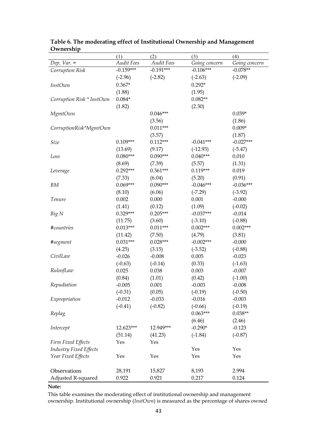|                               | (1)                   | (2)                  | (3)                   | (4)           |
|-------------------------------|-----------------------|----------------------|-----------------------|---------------|
| Dep. $Var =$                  | <b>Audit Fees</b>     | <b>Audit Fees</b>    | Going concern         | Going concern |
| Corruption Risk               | $-0.159***$           | $-0.191***$          | $-0.106***$           | $-0.078**$    |
|                               | $(-2.96)$             | $(-2.82)$            | $(-2.63)$             | $(-2.09)$     |
| <b>InstOwn</b>                | $0.367*$              |                      | $0.292*$              |               |
|                               | (1.88)                |                      | (1.95)                |               |
| Corruption Risk * InstOwn     | $0.084*$              |                      | $0.082**$             |               |
|                               | (1.82)                |                      | (2.30)                |               |
| MgmtOwn                       |                       | $0.046***$           |                       | $0.039*$      |
|                               |                       | (3.56)               |                       | (1.86)        |
| CorruptionRisk*MgmtOwn        |                       | $0.011***$           |                       | $0.009*$      |
|                               |                       | (3.57)               |                       | (1.87)        |
| Size                          | $0.109***$            | $0.112***$           | $-0.041***$           | $-0.027***$   |
|                               | (13.69)               | (9.17)               | $(-12.93)$            | $(-5.47)$     |
| Loss                          | $0.080***$            | $0.090***$           | $0.040***$            | 0.010         |
|                               | (8.69)                | (7.39)               | (5.57)                | (1.31)        |
| Leverage                      | $0.292***$            | $0.361***$           | $0.119***$            | 0.019         |
|                               | (7.33)                | (6.04)               | (5.20)                | (0.91)        |
| BM                            | $0.069***$            | $0.090***$           | $-0.046***$           | $-0.036***$   |
|                               | (8.10)                | (6.06)               | $(-7.29)$             | $(-3.92)$     |
| Tenure                        | 0.002                 | 0.000                | 0.001                 | $-0.000$      |
|                               | (1.41)                | (0.12)               | (1.09)                | $(-0.02)$     |
| Big N                         | $0.329***$            | $0.205***$           | $-0.037***$           | $-0.014$      |
|                               | (11.75)               | (3.60)               | $(-3.10)$             | $(-0.88)$     |
|                               | $0.013***$            | $0.011***$           | $0.002***$            | $0.002***$    |
| #countries                    |                       |                      |                       |               |
|                               | (11.42)<br>$0.031***$ | (7.50)<br>$0.028***$ | (4.79)<br>$-0.002***$ | (3.81)        |
| #segment                      |                       |                      |                       | $-0.000$      |
|                               | (4.25)                | (3.15)               | $(-3.52)$             | $(-0.88)$     |
| CivilLaw                      | $-0.026$              | $-0.008$             | 0.005                 | $-0.023$      |
|                               | $(-0.63)$             | $(-0.14)$            | (0.33)                | $(-1.63)$     |
| RuleofLaw                     | 0.025                 | 0.038                | 0.003                 | $-0.007$      |
|                               | (0.84)                | (1.01)               | (0.42)                | $(-1.00)$     |
| Repudiation                   | $-0.005$              | 0.001                | $-0.003$              | $-0.008$      |
|                               | $(-0.31)$             | (0.05)               | $(-0.19)$             | $(-0.50)$     |
| Expropriation                 | $-0.012$              | $-0.033$             | $-0.016$              | $-0.003$      |
|                               | $(-0.41)$             | $(-0.82)$            | $(-0.66)$             | $(-0.19)$     |
| Replag                        |                       |                      | $0.063***$            | $0.038**$     |
|                               |                       |                      | (6.46)                | (2.46)        |
| Intercept                     | 12.623***             | 12.949***            | $-0.290*$             | $-0.123$      |
|                               | (51.14)               | (41.23)              | $(-1.84)$             | $(-0.87)$     |
| Firm Fixed Effects            | Yes                   | Yes                  |                       |               |
| <b>Industry Fixed Effects</b> |                       |                      | Yes                   | Yes           |
| Year Fixed Effects            | Yes                   | Yes                  | Yes                   | Yes           |
|                               |                       |                      |                       |               |
| Observations                  | 28,191                | 15,827               | 8,193                 | 2.994         |
| Adjusted R-squared            | 0.922                 | 0.921                | 0.217                 | 0.124         |

**Table 6. The moderating effect of Institutional Ownership and Management Ownership**

### **Note:**

This table examines the moderating effect of institutional ownership and management ownership. Institutional ownership (*InstOwn*) is measured as the percentage of shares owned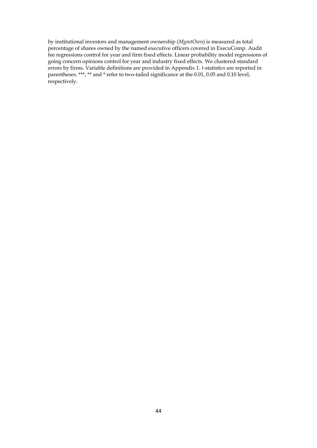by institutional investors and management ownership (*MgmtOwn*) is measured as total percentage of shares owned by the named executive officers covered in ExecuComp. Audit fee regressions control for year and firm fixed effects. Linear probability model regressions of going concern opinions control for year and industry fixed effects. We clustered standard errors by firms. Variable definitions are provided in Appendix 1. *t-*statistics are reported in parentheses. \*\*\*, \*\* and \* refer to two-tailed significance at the 0.01, 0.05 and 0.10 level, respectively.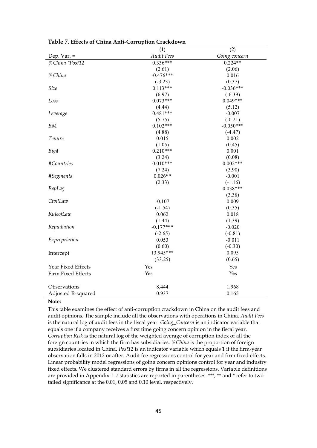|                    | (1)               | (2)           |
|--------------------|-------------------|---------------|
| Dep. Var. $=$      | <b>Audit Fees</b> | Going concern |
| % China *Post12    | $0.336***$        | $0.224**$     |
|                    | (2.61)            | (2.06)        |
| %China             | $-0.476***$       | 0.016         |
|                    | $(-3.23)$         | (0.37)        |
| Size               | $0.113***$        | $-0.036***$   |
|                    | (6.97)            | $(-6.39)$     |
| Loss               | $0.073***$        | $0.049***$    |
|                    | (4.44)            | (5.12)        |
| Leverage           | $0.481***$        | $-0.007$      |
|                    | (5.75)            | $(-0.21)$     |
| BM                 | $0.102***$        | $-0.050***$   |
|                    | (4.88)            | $(-4.47)$     |
| Tenure             | 0.015             | 0.002         |
|                    | (1.05)            | (0.45)        |
| Big4               | $0.210***$        | 0.001         |
|                    | (3.24)            | (0.08)        |
| #Countries         | $0.010***$        | $0.002***$    |
|                    | (7.24)            | (3.90)        |
| #Segments          | $0.026**$         | $-0.001$      |
|                    | (2.33)            | $(-1.16)$     |
| RepLag             |                   | $0.038***$    |
|                    |                   | (3.38)        |
| CivilLaw           | $-0.107$          | 0.009         |
|                    | $(-1.54)$         | (0.35)        |
| RuleofLaw          | 0.062             | 0.018         |
|                    | (1.44)            | (1.39)        |
| Repudiation        | $-0.177***$       | $-0.020$      |
|                    | $(-2.65)$         | $(-0.81)$     |
| Expropriation      | 0.053             | $-0.011$      |
|                    | (0.60)            | $(-0.30)$     |
| Intercept          | 13.945***         | 0.095         |
|                    | (33.25)           | (0.65)        |
| Year Fixed Effects | Yes               | Yes           |
| Firm Fixed Effects | Yes               | Yes           |
|                    |                   |               |
| Observations       | 8,444             | 1,968         |
| Adjusted R-squared | 0.937             | 0.165         |

**Table 7. Effects of China Anti-Corruption Crackdown** 

#### **Note:**

This table examines the effect of anti-corruption crackdown in China on the audit fees and audit opinions. The sample include all the observations with operations in China. *Audit Fees* is the natural log of audit fees in the fiscal year. *Going\_Concern* is an indicator variable that equals one if a company receives a first time going concern opinion in the fiscal year. *Corruption Risk* is the natural log of the weighted average of corruption index of all the foreign countries in which the firm has subsidiaries. %*China* is the proportion of foreign subsidiaries located in China. *Post12* is an indicator variable which equals 1 if the firm-year observation falls in 2012 or after. Audit fee regressions control for year and firm fixed effects. Linear probability model regressions of going concern opinions control for year and industry fixed effects. We clustered standard errors by firms in all the regressions. Variable definitions are provided in Appendix 1. *t-*statistics are reported in parentheses. \*\*\*, \*\* and \* refer to twotailed significance at the 0.01, 0.05 and 0.10 level, respectively.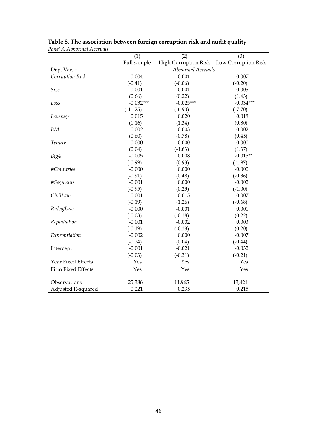|                    | (1)         | (2)                  | (3)                 |
|--------------------|-------------|----------------------|---------------------|
|                    | Full sample | High Corruption Risk | Low Corruption Risk |
| Dep. Var. $=$      |             | Abnormal Accruals    |                     |
| Corruption Risk    | $-0.004$    | $-0.001$             | $-0.007$            |
|                    | $(-0.41)$   | $(-0.06)$            | $(-0.20)$           |
| Size               | 0.001       | 0.001                | 0.005               |
|                    | (0.66)      | (0.22)               | (1.43)              |
| Loss               | $-0.032***$ | $-0.025***$          | $-0.034***$         |
|                    | $(-11.25)$  | $(-6.90)$            | $(-7.70)$           |
| Leverage           | 0.015       | 0.020                | 0.018               |
|                    | (1.16)      | (1.34)               | (0.80)              |
| BM                 | 0.002       | 0.003                | 0.002               |
|                    | (0.60)      | (0.78)               | (0.45)              |
| Tenure             | 0.000       | $-0.000$             | 0.000               |
|                    | (0.04)      | $(-1.63)$            | (1.37)              |
| Big4               | $-0.005$    | 0.008                | $-0.015**$          |
|                    | $(-0.99)$   | (0.93)               | $(-1.97)$           |
| #Countries         | $-0.000$    | 0.000                | $-0.000$            |
|                    | $(-0.91)$   | (0.48)               | $(-0.36)$           |
| #Segments          | $-0.001$    | 0.000                | $-0.002$            |
|                    | $(-0.95)$   | (0.29)               | $(-1.00)$           |
| CivilLaw           | $-0.001$    | 0.015                | $-0.007$            |
|                    | $(-0.19)$   | (1.26)               | $(-0.68)$           |
| RuleofLaw          | $-0.000$    | $-0.001$             | 0.001               |
|                    | $(-0.03)$   | $(-0.18)$            | (0.22)              |
| Repudiation        | $-0.001$    | $-0.002$             | 0.003               |
|                    | $(-0.19)$   | $(-0.18)$            | (0.20)              |
| Expropriation      | $-0.002$    | 0.000                | $-0.007$            |
|                    | $(-0.24)$   | (0.04)               | $(-0.44)$           |
| Intercept          | $-0.001$    | $-0.021$             | $-0.032$            |
|                    | $(-0.03)$   | $(-0.31)$            | $(-0.21)$           |
| Year Fixed Effects | Yes         | Yes                  | Yes                 |
| Firm Fixed Effects | Yes         | Yes                  | Yes                 |
| Observations       | 25,386      | 11,965               | 13,421              |
| Adjusted R-squared | 0.221       | 0.235                | 0.215               |

# **Table 8. The association between foreign corruption risk and audit quality** *Panel A Abnormal Accruals*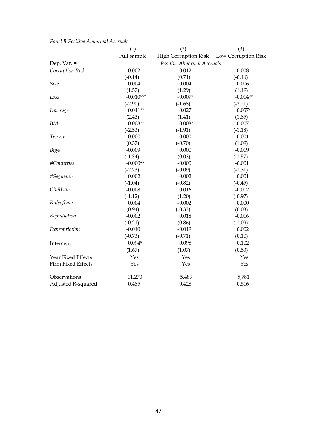|                    | (1)         | (2)                        | (3)                 |
|--------------------|-------------|----------------------------|---------------------|
|                    | Full sample | High Corruption Risk       | Low Corruption Risk |
| Dep. Var. $=$      |             | Positive Abnormal Accruals |                     |
| Corruption Risk    | $-0.002$    | 0.012                      | $-0.008$            |
|                    | $(-0.14)$   | (0.71)                     | $(-0.16)$           |
| Size               | 0.004       | 0.004                      | 0.006               |
|                    | (1.57)      | (1.29)                     | (1.19)              |
| Loss               | $-0.010***$ | $-0.007*$                  | $-0.014**$          |
|                    | $(-2.90)$   | $(-1.68)$                  | $(-2.21)$           |
| Leverage           | $0.041**$   | 0.027                      | $0.057*$            |
|                    | (2.43)      | (1.41)                     | (1.85)              |
| <b>BM</b>          | $-0.008**$  | $-0.008*$                  | $-0.007$            |
|                    | $(-2.53)$   | $(-1.91)$                  | $(-1.18)$           |
| Tenure             | 0.000       | $-0.000$                   | 0.001               |
|                    | (0.37)      | $(-0.70)$                  | (1.09)              |
| Big4               | $-0.009$    | 0.000                      | $-0.019$            |
|                    | $(-1.34)$   | (0.03)                     | $(-1.57)$           |
| #Countries         | $-0.000**$  | $-0.000$                   | $-0.001$            |
|                    | $(-2.23)$   | $(-0.09)$                  | $(-1.31)$           |
| #Segments          | $-0.002$    | $-0.002$                   | $-0.001$            |
|                    | $(-1.04)$   | $(-0.82)$                  | $(-0.45)$           |
| CivilLaw           | $-0.008$    | 0.016                      | $-0.012$            |
|                    | $(-1.12)$   | (1.20)                     | $(-0.97)$           |
| RuleofLaw          | 0.004       | $-0.002$                   | 0.000               |
|                    | (0.94)      | $(-0.33)$                  | (0.03)              |
| Repudiation        | $-0.002$    | 0.018                      | $-0.016$            |
|                    | $(-0.21)$   | (0.86)                     | $(-1.09)$           |
| Expropriation      | $-0.010$    | $-0.019$                   | 0.002               |
|                    | $(-0.73)$   | $(-0.71)$                  | (0.10)              |
| Intercept          | $0.094*$    | 0.098                      | 0.102               |
|                    | (1.67)      | (1.07)                     | (0.53)              |
| Year Fixed Effects | Yes         | Yes                        | Yes                 |
| Firm Fixed Effects | Yes         | Yes                        | Yes                 |
| Observations       | 11,270      | 5,489                      | 5,781               |
| Adjusted R-squared | 0.485       | 0.428                      | 0.516               |

|  |  | Panel B Positive Abnormal Accruals |  |
|--|--|------------------------------------|--|
|--|--|------------------------------------|--|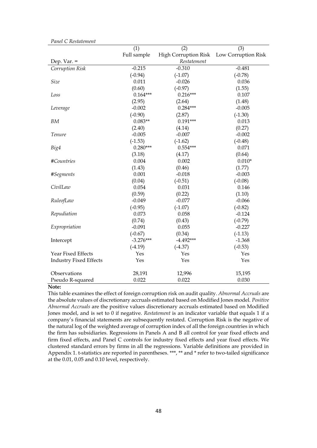|                               | (1)         | (2)                  | (3)                 |
|-------------------------------|-------------|----------------------|---------------------|
|                               | Full sample | High Corruption Risk | Low Corruption Risk |
| Dep. Var. $=$                 |             | Restatement          |                     |
| Corruption Risk               | $-0.215$    | $-0.310$             | $-0.481$            |
|                               | $(-0.94)$   | $(-1.07)$            | $(-0.78)$           |
| Size                          | 0.011       | $-0.026$             | 0.036               |
|                               | (0.60)      | $(-0.97)$            | (1.55)              |
| Loss                          | $0.164***$  | $0.216***$           | 0.107               |
|                               | (2.95)      | (2.64)               | (1.48)              |
| Leverage                      | $-0.002$    | $0.284***$           | $-0.005$            |
|                               | $(-0.90)$   | (2.87)               | $(-1.30)$           |
| BM                            | $0.083**$   | $0.191***$           | 0.013               |
|                               | (2.40)      | (4.14)               | (0.27)              |
| Tenure                        | $-0.005$    | $-0.007$             | $-0.002$            |
|                               | $(-1.53)$   | $(-1.62)$            | $(-0.48)$           |
| Big4                          | $0.280***$  | $0.554***$           | 0.071               |
|                               | (3.18)      | (4.17)               | (0.64)              |
| #Countries                    | 0.004       | 0.002                | $0.010*$            |
|                               | (1.43)      | (0.46)               | (1.77)              |
| #Segments                     | 0.001       | $-0.018$             | $-0.003$            |
|                               | (0.04)      | $(-0.51)$            | $(-0.08)$           |
| CivilLaw                      | 0.054       | 0.031                | 0.146               |
|                               | (0.59)      | (0.22)               | (1.10)              |
| RuleofLaw                     | $-0.049$    | $-0.077$             | $-0.066$            |
|                               | $(-0.95)$   | $(-1.07)$            | $(-0.82)$           |
| Repudiation                   | 0.073       | 0.058                | $-0.124$            |
|                               | (0.74)      | (0.43)               | $(-0.79)$           |
| Expropriation                 | $-0.091$    | 0.055                | $-0.227$            |
|                               | $(-0.67)$   | (0.34)               | $(-1.13)$           |
| Intercept                     | $-3.276***$ | $-4.492***$          | $-1.368$            |
|                               | $(-4.19)$   | $(-4.37)$            | $(-0.53)$           |
| Year Fixed Effects            | Yes         | Yes                  | Yes                 |
| <b>Industry Fixed Effects</b> | Yes         | Yes                  | Yes                 |
| Observations                  | 28,191      | 12,996               | 15,195              |
| Pseudo R-squared              | 0.022       | 0.022                | 0.030               |

#### *Panel C Restatement*

#### **Note:**

This table examines the effect of foreign corruption risk on audit quality. *Abnormal Accruals* are the absolute values of discretionary accruals estimated based on Modified Jones model. *Positive Abnormal Accruals* are the positive values discretionary accruals estimated based on Modified Jones model, and is set to 0 if negative. *Restatement* is an indicator variable that equals 1 if a company's financial statements are subsequently restated. Corruption Risk is the negative of the natural log of the weighted average of corruption index of all the foreign countries in which the firm has subsidiaries. Regressions in Panels A and B all control for year fixed effects and firm fixed effects, and Panel C controls for industry fixed effects and year fixed effects. We clustered standard errors by firms in all the regressions. Variable definitions are provided in Appendix 1. t-statistics are reported in parentheses. \*\*\*, \*\* and \* refer to two-tailed significance at the 0.01, 0.05 and 0.10 level, respectively.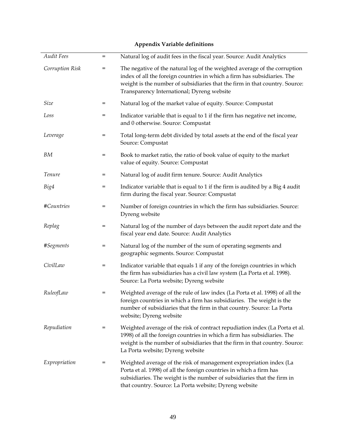| Audit Fees      | $=$ | Natural log of audit fees in the fiscal year. Source: Audit Analytics                                                                                                                                                                                                              |
|-----------------|-----|------------------------------------------------------------------------------------------------------------------------------------------------------------------------------------------------------------------------------------------------------------------------------------|
| Corruption Risk | $=$ | The negative of the natural log of the weighted average of the corruption<br>index of all the foreign countries in which a firm has subsidiaries. The<br>weight is the number of subsidiaries that the firm in that country. Source:<br>Transparency International; Dyreng website |
| <i>Size</i>     | =   | Natural log of the market value of equity. Source: Compustat                                                                                                                                                                                                                       |
| Loss            | =   | Indicator variable that is equal to 1 if the firm has negative net income,<br>and 0 otherwise. Source: Compustat                                                                                                                                                                   |
| Leverage        | $=$ | Total long-term debt divided by total assets at the end of the fiscal year<br>Source: Compustat                                                                                                                                                                                    |
| BМ              | =   | Book to market ratio, the ratio of book value of equity to the market<br>value of equity. Source: Compustat                                                                                                                                                                        |
| Tenure          | $=$ | Natural log of audit firm tenure. Source: Audit Analytics                                                                                                                                                                                                                          |
| Big4            | $=$ | Indicator variable that is equal to 1 if the firm is audited by a Big 4 audit<br>firm during the fiscal year. Source: Compustat                                                                                                                                                    |
| #Countries      | $=$ | Number of foreign countries in which the firm has subsidiaries. Source:<br>Dyreng website                                                                                                                                                                                          |
| Replag          | =   | Natural log of the number of days between the audit report date and the<br>fiscal year end date. Source: Audit Analytics                                                                                                                                                           |
| #Segments       | =   | Natural log of the number of the sum of operating segments and<br>geographic segments. Source: Compustat                                                                                                                                                                           |
| CivilLaw        | $=$ | Indicator variable that equals 1 if any of the foreign countries in which<br>the firm has subsidiaries has a civil law system (La Porta et al. 1998).<br>Source: La Porta website; Dyreng website                                                                                  |
| RuleofLaw       | $=$ | Weighted average of the rule of law index (La Porta et al. 1998) of all the<br>foreign countries in which a firm has subsidiaries. The weight is the<br>number of subsidiaries that the firm in that country. Source: La Porta<br>website; Dyreng website                          |
| Repudiation     | $=$ | Weighted average of the risk of contract repudiation index (La Porta et al.<br>1998) of all the foreign countries in which a firm has subsidiaries. The<br>weight is the number of subsidiaries that the firm in that country. Source:<br>La Porta website; Dyreng website         |
| Expropriation   | =   | Weighted average of the risk of management expropriation index (La<br>Porta et al. 1998) of all the foreign countries in which a firm has<br>subsidiaries. The weight is the number of subsidiaries that the firm in<br>that country. Source: La Porta website; Dyreng website     |

# **Appendix Variable definitions**